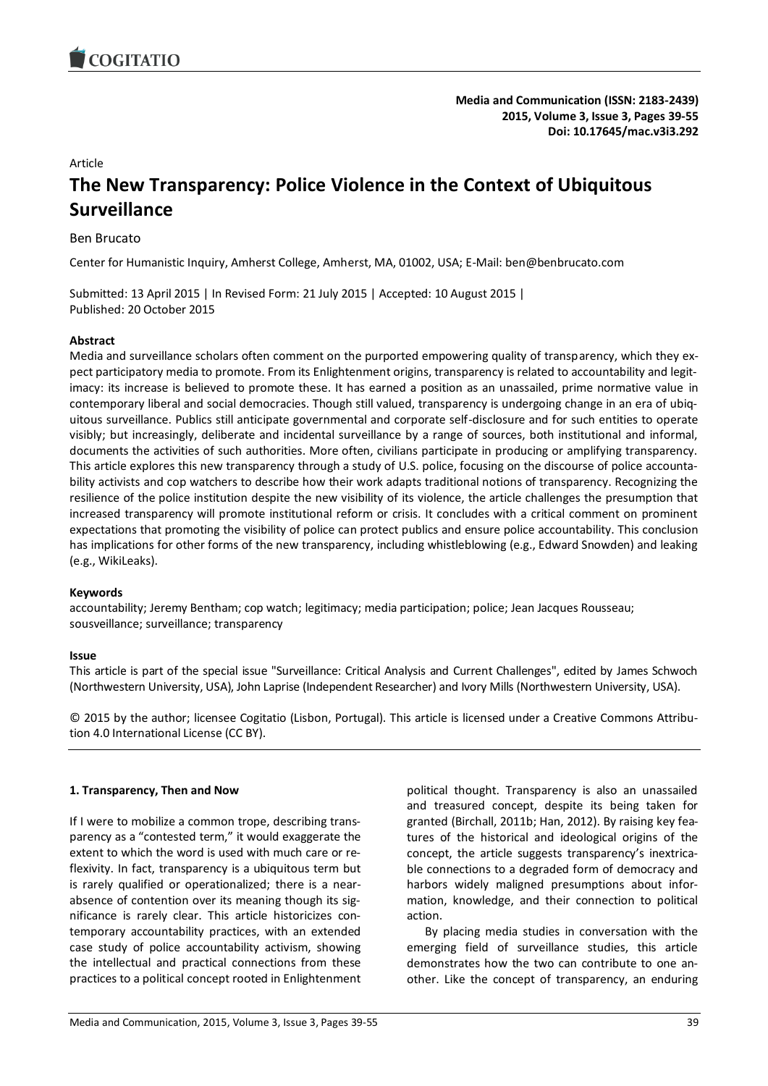

**Media and Communication (ISSN: 2183-2439) 2015, Volume 3, Issue 3, Pages 39-55 Doi: 10.17645/mac.v3i3.292**

#### Article

# **The New Transparency: Police Violence in the Context of Ubiquitous Surveillance**

## Ben Brucato

Center for Humanistic Inquiry, Amherst College, Amherst, MA, 01002, USA; E-Mail: ben@benbrucato.com

Submitted: 13 April 2015 | In Revised Form: 21 July 2015 | Accepted: 10 August 2015 | Published: 20 October 2015

## **Abstract**

Media and surveillance scholars often comment on the purported empowering quality of transparency, which they expect participatory media to promote. From its Enlightenment origins, transparency is related to accountability and legitimacy: its increase is believed to promote these. It has earned a position as an unassailed, prime normative value in contemporary liberal and social democracies. Though still valued, transparency is undergoing change in an era of ubiquitous surveillance. Publics still anticipate governmental and corporate self-disclosure and for such entities to operate visibly; but increasingly, deliberate and incidental surveillance by a range of sources, both institutional and informal, documents the activities of such authorities. More often, civilians participate in producing or amplifying transparency. This article explores this new transparency through a study of U.S. police, focusing on the discourse of police accountability activists and cop watchers to describe how their work adapts traditional notions of transparency. Recognizing the resilience of the police institution despite the new visibility of its violence, the article challenges the presumption that increased transparency will promote institutional reform or crisis. It concludes with a critical comment on prominent expectations that promoting the visibility of police can protect publics and ensure police accountability. This conclusion has implications for other forms of the new transparency, including whistleblowing (e.g., Edward Snowden) and leaking (e.g., WikiLeaks).

#### **Keywords**

accountability; Jeremy Bentham; cop watch; legitimacy; media participation; police; Jean Jacques Rousseau; sousveillance; surveillance; transparency

#### **Issue**

This article is part of the special issue "Surveillance: Critical Analysis and Current Challenges", edited by James Schwoch (Northwestern University, USA), John Laprise (Independent Researcher) and Ivory Mills (Northwestern University, USA).

© 2015 by the author; licensee Cogitatio (Lisbon, Portugal). This article is licensed under a Creative Commons Attribution 4.0 International License (CC BY).

#### **1. Transparency, Then and Now**

If I were to mobilize a common trope, describing transparency as a "contested term," it would exaggerate the extent to which the word is used with much care or reflexivity. In fact, transparency is a ubiquitous term but is rarely qualified or operationalized; there is a nearabsence of contention over its meaning though its significance is rarely clear. This article historicizes contemporary accountability practices, with an extended case study of police accountability activism, showing the intellectual and practical connections from these practices to a political concept rooted in Enlightenment

political thought. Transparency is also an unassailed and treasured concept, despite its being taken for granted (Birchall, 2011b; Han, 2012). By raising key features of the historical and ideological origins of the concept, the article suggests transparency's inextricable connections to a degraded form of democracy and harbors widely maligned presumptions about information, knowledge, and their connection to political action.

By placing media studies in conversation with the emerging field of surveillance studies, this article demonstrates how the two can contribute to one another. Like the concept of transparency, an enduring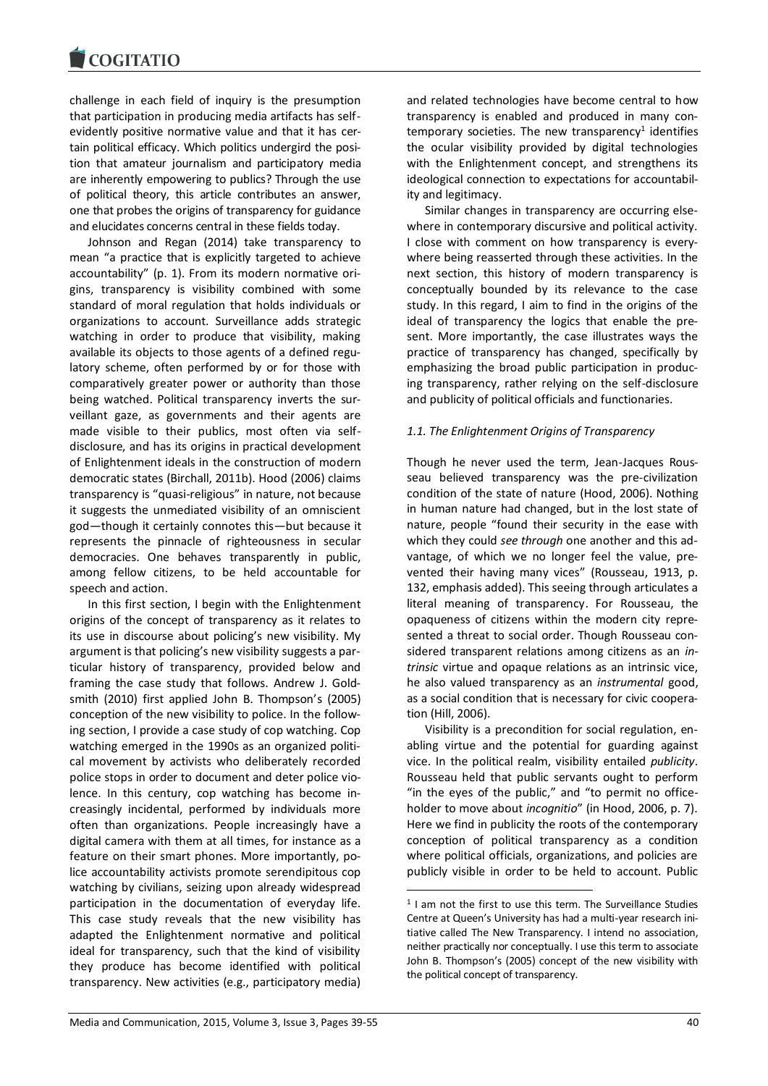challenge in each field of inquiry is the presumption that participation in producing media artifacts has selfevidently positive normative value and that it has certain political efficacy. Which politics undergird the position that amateur journalism and participatory media are inherently empowering to publics? Through the use of political theory, this article contributes an answer, one that probes the origins of transparency for guidance and elucidates concerns central in these fields today.

Johnson and Regan (2014) take transparency to mean "a practice that is explicitly targeted to achieve accountability" (p. 1). From its modern normative origins, transparency is visibility combined with some standard of moral regulation that holds individuals or organizations to account. Surveillance adds strategic watching in order to produce that visibility, making available its objects to those agents of a defined regulatory scheme, often performed by or for those with comparatively greater power or authority than those being watched. Political transparency inverts the surveillant gaze, as governments and their agents are made visible to their publics, most often via selfdisclosure, and has its origins in practical development of Enlightenment ideals in the construction of modern democratic states (Birchall, 2011b). Hood (2006) claims transparency is "quasi-religious" in nature, not because it suggests the unmediated visibility of an omniscient god—though it certainly connotes this—but because it represents the pinnacle of righteousness in secular democracies. One behaves transparently in public, among fellow citizens, to be held accountable for speech and action.

In this first section, I begin with the Enlightenment origins of the concept of transparency as it relates to its use in discourse about policing's new visibility. My argument is that policing's new visibility suggests a particular history of transparency, provided below and framing the case study that follows. Andrew J. Goldsmith (2010) first applied John B. Thompson's (2005) conception of the new visibility to police. In the following section, I provide a case study of cop watching. Cop watching emerged in the 1990s as an organized political movement by activists who deliberately recorded police stops in order to document and deter police violence. In this century, cop watching has become increasingly incidental, performed by individuals more often than organizations. People increasingly have a digital camera with them at all times, for instance as a feature on their smart phones. More importantly, police accountability activists promote serendipitous cop watching by civilians, seizing upon already widespread participation in the documentation of everyday life. This case study reveals that the new visibility has adapted the Enlightenment normative and political ideal for transparency, such that the kind of visibility they produce has become identified with political transparency. New activities (e.g., participatory media)

and related technologies have become central to how transparency is enabled and produced in many con $temporary$  societies. The new transparency<sup>1</sup> identifies the ocular visibility provided by digital technologies with the Enlightenment concept, and strengthens its ideological connection to expectations for accountability and legitimacy.

Similar changes in transparency are occurring elsewhere in contemporary discursive and political activity. I close with comment on how transparency is everywhere being reasserted through these activities. In the next section, this history of modern transparency is conceptually bounded by its relevance to the case study. In this regard, I aim to find in the origins of the ideal of transparency the logics that enable the present. More importantly, the case illustrates ways the practice of transparency has changed, specifically by emphasizing the broad public participation in producing transparency, rather relying on the self-disclosure and publicity of political officials and functionaries.

## *1.1. The Enlightenment Origins of Transparency*

Though he never used the term, Jean-Jacques Rousseau believed transparency was the pre-civilization condition of the state of nature (Hood, 2006). Nothing in human nature had changed, but in the lost state of nature, people "found their security in the ease with which they could *see through* one another and this advantage, of which we no longer feel the value, prevented their having many vices" (Rousseau, 1913, p. 132, emphasis added). This seeing through articulates a literal meaning of transparency. For Rousseau, the opaqueness of citizens within the modern city represented a threat to social order. Though Rousseau considered transparent relations among citizens as an *intrinsic* virtue and opaque relations as an intrinsic vice, he also valued transparency as an *instrumental* good, as a social condition that is necessary for civic cooperation (Hill, 2006).

Visibility is a precondition for social regulation, enabling virtue and the potential for guarding against vice. In the political realm, visibility entailed *publicity*. Rousseau held that public servants ought to perform "in the eyes of the public," and "to permit no officeholder to move about *incognitio*" (in Hood, 2006, p. 7). Here we find in publicity the roots of the contemporary conception of political transparency as a condition where political officials, organizations, and policies are publicly visible in order to be held to account. Public

1

<sup>&</sup>lt;sup>1</sup> I am not the first to use this term. The Surveillance Studies Centre at Queen's University has had a multi-year research initiative called The New Transparency. I intend no association, neither practically nor conceptually. I use this term to associate John B. Thompson's (2005) concept of the new visibility with the political concept of transparency.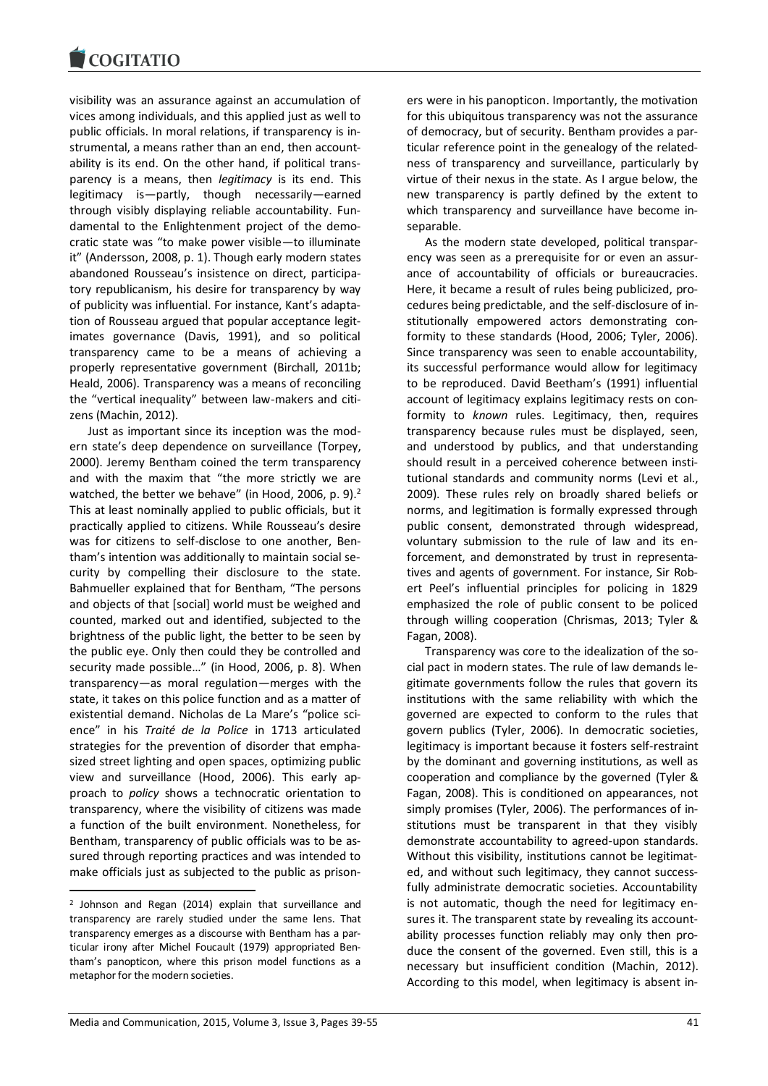visibility was an assurance against an accumulation of vices among individuals, and this applied just as well to public officials. In moral relations, if transparency is instrumental, a means rather than an end, then accountability is its end. On the other hand, if political transparency is a means, then *legitimacy* is its end. This legitimacy is—partly, though necessarily—earned through visibly displaying reliable accountability. Fundamental to the Enlightenment project of the democratic state was "to make power visible—to illuminate it" (Andersson, 2008, p. 1). Though early modern states abandoned Rousseau's insistence on direct, participatory republicanism, his desire for transparency by way of publicity was influential. For instance, Kant's adaptation of Rousseau argued that popular acceptance legitimates governance (Davis, 1991), and so political transparency came to be a means of achieving a properly representative government (Birchall, 2011b; Heald, 2006). Transparency was a means of reconciling the "vertical inequality" between law-makers and citizens (Machin, 2012).

Just as important since its inception was the modern state's deep dependence on surveillance (Torpey, 2000). Jeremy Bentham coined the term transparency and with the maxim that "the more strictly we are watched, the better we behave" (in Hood, 2006, p. 9). $<sup>2</sup>$ </sup> This at least nominally applied to public officials, but it practically applied to citizens. While Rousseau's desire was for citizens to self-disclose to one another, Bentham's intention was additionally to maintain social security by compelling their disclosure to the state. Bahmueller explained that for Bentham, "The persons and objects of that [social] world must be weighed and counted, marked out and identified, subjected to the brightness of the public light, the better to be seen by the public eye. Only then could they be controlled and security made possible…" (in Hood, 2006, p. 8). When transparency—as moral regulation—merges with the state, it takes on this police function and as a matter of existential demand. Nicholas de La Mare's "police science" in his *Traité de la Police* in 1713 articulated strategies for the prevention of disorder that emphasized street lighting and open spaces, optimizing public view and surveillance (Hood, 2006). This early approach to *policy* shows a technocratic orientation to transparency, where the visibility of citizens was made a function of the built environment. Nonetheless, for Bentham, transparency of public officials was to be assured through reporting practices and was intended to make officials just as subjected to the public as prison-

1

ers were in his panopticon. Importantly, the motivation for this ubiquitous transparency was not the assurance of democracy, but of security. Bentham provides a particular reference point in the genealogy of the relatedness of transparency and surveillance, particularly by virtue of their nexus in the state. As I argue below, the new transparency is partly defined by the extent to which transparency and surveillance have become inseparable.

As the modern state developed, political transparency was seen as a prerequisite for or even an assurance of accountability of officials or bureaucracies. Here, it became a result of rules being publicized, procedures being predictable, and the self-disclosure of institutionally empowered actors demonstrating conformity to these standards (Hood, 2006; Tyler, 2006). Since transparency was seen to enable accountability, its successful performance would allow for legitimacy to be reproduced. David Beetham's (1991) influential account of legitimacy explains legitimacy rests on conformity to *known* rules. Legitimacy, then, requires transparency because rules must be displayed, seen, and understood by publics, and that understanding should result in a perceived coherence between institutional standards and community norms (Levi et al., 2009). These rules rely on broadly shared beliefs or norms, and legitimation is formally expressed through public consent, demonstrated through widespread, voluntary submission to the rule of law and its enforcement, and demonstrated by trust in representatives and agents of government. For instance, Sir Robert Peel's influential principles for policing in 1829 emphasized the role of public consent to be policed through willing cooperation (Chrismas, 2013; Tyler & Fagan, 2008).

Transparency was core to the idealization of the social pact in modern states. The rule of law demands legitimate governments follow the rules that govern its institutions with the same reliability with which the governed are expected to conform to the rules that govern publics (Tyler, 2006). In democratic societies, legitimacy is important because it fosters self-restraint by the dominant and governing institutions, as well as cooperation and compliance by the governed (Tyler & Fagan, 2008). This is conditioned on appearances, not simply promises (Tyler, 2006). The performances of institutions must be transparent in that they visibly demonstrate accountability to agreed-upon standards. Without this visibility, institutions cannot be legitimated, and without such legitimacy, they cannot successfully administrate democratic societies. Accountability is not automatic, though the need for legitimacy ensures it. The transparent state by revealing its accountability processes function reliably may only then produce the consent of the governed. Even still, this is a necessary but insufficient condition (Machin, 2012). According to this model, when legitimacy is absent in-

<sup>2</sup> Johnson and Regan (2014) explain that surveillance and transparency are rarely studied under the same lens. That transparency emerges as a discourse with Bentham has a particular irony after Michel Foucault (1979) appropriated Bentham's panopticon, where this prison model functions as a metaphor for the modern societies.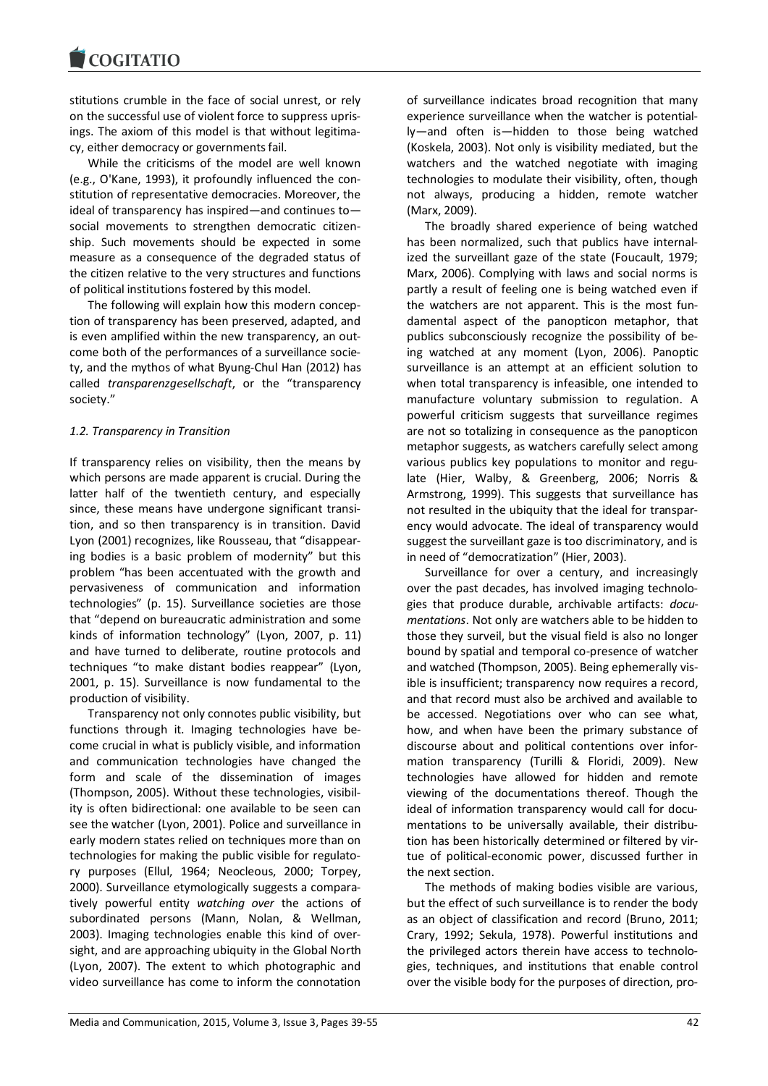stitutions crumble in the face of social unrest, or rely on the successful use of violent force to suppress uprisings. The axiom of this model is that without legitimacy, either democracy or governments fail.

While the criticisms of the model are well known (e.g., O'Kane, 1993), it profoundly influenced the constitution of representative democracies. Moreover, the ideal of transparency has inspired—and continues to social movements to strengthen democratic citizenship. Such movements should be expected in some measure as a consequence of the degraded status of the citizen relative to the very structures and functions of political institutions fostered by this model.

The following will explain how this modern conception of transparency has been preserved, adapted, and is even amplified within the new transparency, an outcome both of the performances of a surveillance society, and the mythos of what Byung-Chul Han (2012) has called *transparenzgesellschaft*, or the "transparency society."

## *1.2. Transparency in Transition*

If transparency relies on visibility, then the means by which persons are made apparent is crucial. During the latter half of the twentieth century, and especially since, these means have undergone significant transition, and so then transparency is in transition. David Lyon (2001) recognizes, like Rousseau, that "disappearing bodies is a basic problem of modernity" but this problem "has been accentuated with the growth and pervasiveness of communication and information technologies" (p. 15). Surveillance societies are those that "depend on bureaucratic administration and some kinds of information technology" (Lyon, 2007, p. 11) and have turned to deliberate, routine protocols and techniques "to make distant bodies reappear" (Lyon, 2001, p. 15). Surveillance is now fundamental to the production of visibility.

Transparency not only connotes public visibility, but functions through it. Imaging technologies have become crucial in what is publicly visible, and information and communication technologies have changed the form and scale of the dissemination of images (Thompson, 2005). Without these technologies, visibility is often bidirectional: one available to be seen can see the watcher (Lyon, 2001). Police and surveillance in early modern states relied on techniques more than on technologies for making the public visible for regulatory purposes (Ellul, 1964; Neocleous, 2000; Torpey, 2000). Surveillance etymologically suggests a comparatively powerful entity *watching over* the actions of subordinated persons (Mann, Nolan, & Wellman, 2003). Imaging technologies enable this kind of oversight, and are approaching ubiquity in the Global North (Lyon, 2007). The extent to which photographic and video surveillance has come to inform the connotation

of surveillance indicates broad recognition that many experience surveillance when the watcher is potentially—and often is—hidden to those being watched (Koskela, 2003). Not only is visibility mediated, but the watchers and the watched negotiate with imaging technologies to modulate their visibility, often, though not always, producing a hidden, remote watcher (Marx, 2009).

The broadly shared experience of being watched has been normalized, such that publics have internalized the surveillant gaze of the state (Foucault, 1979; Marx, 2006). Complying with laws and social norms is partly a result of feeling one is being watched even if the watchers are not apparent. This is the most fundamental aspect of the panopticon metaphor, that publics subconsciously recognize the possibility of being watched at any moment (Lyon, 2006). Panoptic surveillance is an attempt at an efficient solution to when total transparency is infeasible, one intended to manufacture voluntary submission to regulation. A powerful criticism suggests that surveillance regimes are not so totalizing in consequence as the panopticon metaphor suggests, as watchers carefully select among various publics key populations to monitor and regulate (Hier, Walby, & Greenberg, 2006; Norris & Armstrong, 1999). This suggests that surveillance has not resulted in the ubiquity that the ideal for transparency would advocate. The ideal of transparency would suggest the surveillant gaze is too discriminatory, and is in need of "democratization" (Hier, 2003).

Surveillance for over a century, and increasingly over the past decades, has involved imaging technologies that produce durable, archivable artifacts: *documentations*. Not only are watchers able to be hidden to those they surveil, but the visual field is also no longer bound by spatial and temporal co-presence of watcher and watched (Thompson, 2005). Being ephemerally visible is insufficient; transparency now requires a record, and that record must also be archived and available to be accessed. Negotiations over who can see what, how, and when have been the primary substance of discourse about and political contentions over information transparency (Turilli & Floridi, 2009). New technologies have allowed for hidden and remote viewing of the documentations thereof. Though the ideal of information transparency would call for documentations to be universally available, their distribution has been historically determined or filtered by virtue of political-economic power, discussed further in the next section.

The methods of making bodies visible are various, but the effect of such surveillance is to render the body as an object of classification and record (Bruno, 2011; Crary, 1992; Sekula, 1978). Powerful institutions and the privileged actors therein have access to technologies, techniques, and institutions that enable control over the visible body for the purposes of direction, pro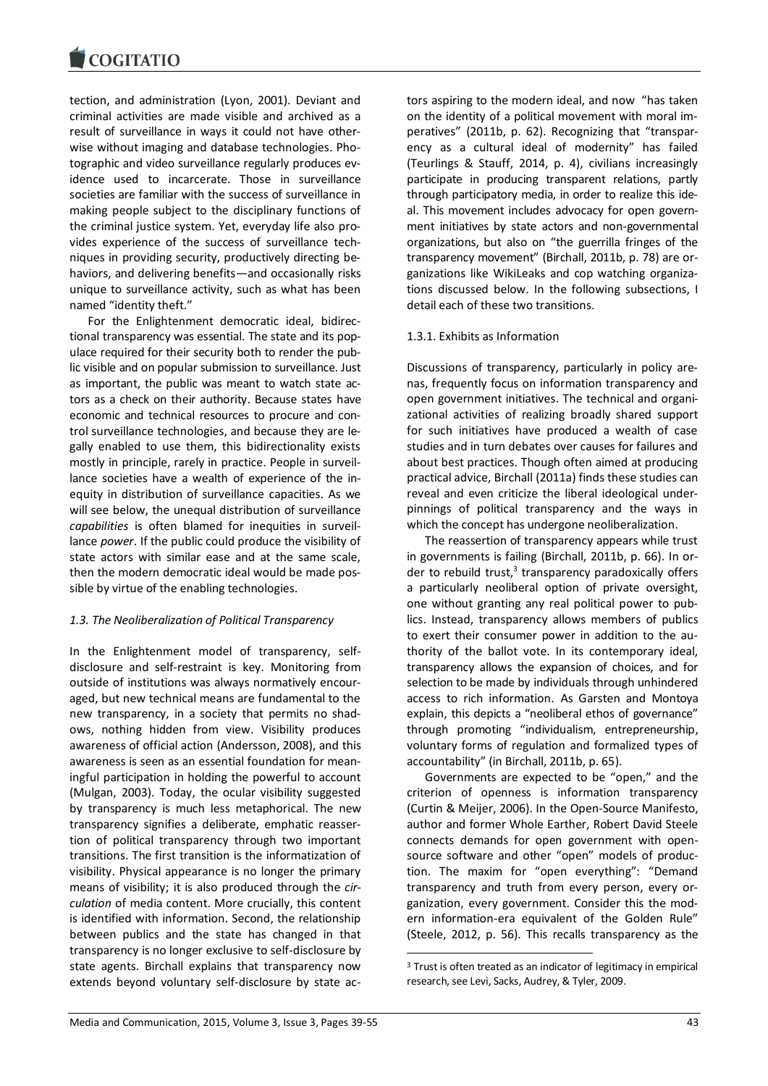tection, and administration (Lyon, 2001). Deviant and criminal activities are made visible and archived as a result of surveillance in ways it could not have otherwise without imaging and database technologies. Photographic and video surveillance regularly produces evidence used to incarcerate. Those in surveillance societies are familiar with the success of surveillance in making people subject to the disciplinary functions of the criminal justice system. Yet, everyday life also provides experience of the success of surveillance techniques in providing security, productively directing behaviors, and delivering benefits—and occasionally risks unique to surveillance activity, such as what has been named "identity theft."

For the Enlightenment democratic ideal, bidirectional transparency was essential. The state and its populace required for their security both to render the public visible and on popular submission to surveillance. Just as important, the public was meant to watch state actors as a check on their authority. Because states have economic and technical resources to procure and control surveillance technologies, and because they are legally enabled to use them, this bidirectionality exists mostly in principle, rarely in practice. People in surveillance societies have a wealth of experience of the inequity in distribution of surveillance capacities. As we will see below, the unequal distribution of surveillance *capabilities* is often blamed for inequities in surveillance *power*. If the public could produce the visibility of state actors with similar ease and at the same scale, then the modern democratic ideal would be made possible by virtue of the enabling technologies.

## *1.3. The Neoliberalization of Political Transparency*

In the Enlightenment model of transparency, selfdisclosure and self-restraint is key. Monitoring from outside of institutions was always normatively encouraged, but new technical means are fundamental to the new transparency, in a society that permits no shadows, nothing hidden from view. Visibility produces awareness of official action (Andersson, 2008), and this awareness is seen as an essential foundation for meaningful participation in holding the powerful to account (Mulgan, 2003). Today, the ocular visibility suggested by transparency is much less metaphorical. The new transparency signifies a deliberate, emphatic reassertion of political transparency through two important transitions. The first transition is the informatization of visibility. Physical appearance is no longer the primary means of visibility; it is also produced through the *circulation* of media content. More crucially, this content is identified with information. Second, the relationship between publics and the state has changed in that transparency is no longer exclusive to self-disclosure by state agents. Birchall explains that transparency now extends beyond voluntary self-disclosure by state actors aspiring to the modern ideal, and now "has taken on the identity of a political movement with moral imperatives" (2011b, p. 62). Recognizing that "transparency as a cultural ideal of modernity" has failed (Teurlings & Stauff, 2014, p. 4), civilians increasingly participate in producing transparent relations, partly through participatory media, in order to realize this ideal. This movement includes advocacy for open government initiatives by state actors and non-governmental organizations, but also on "the guerrilla fringes of the transparency movement" (Birchall, 2011b, p. 78) are organizations like WikiLeaks and cop watching organizations discussed below. In the following subsections, I detail each of these two transitions.

## 1.3.1. Exhibits as Information

Discussions of transparency, particularly in policy arenas, frequently focus on information transparency and open government initiatives. The technical and organizational activities of realizing broadly shared support for such initiatives have produced a wealth of case studies and in turn debates over causes for failures and about best practices. Though often aimed at producing practical advice, Birchall (2011a) finds these studies can reveal and even criticize the liberal ideological underpinnings of political transparency and the ways in which the concept has undergone neoliberalization.

The reassertion of transparency appears while trust in governments is failing (Birchall, 2011b, p. 66). In order to rebuild trust, $3$  transparency paradoxically offers a particularly neoliberal option of private oversight, one without granting any real political power to publics. Instead, transparency allows members of publics to exert their consumer power in addition to the authority of the ballot vote. In its contemporary ideal, transparency allows the expansion of choices, and for selection to be made by individuals through unhindered access to rich information. As Garsten and Montoya explain, this depicts a "neoliberal ethos of governance" through promoting "individualism, entrepreneurship, voluntary forms of regulation and formalized types of accountability" (in Birchall, 2011b, p. 65).

Governments are expected to be "open," and the criterion of openness is information transparency (Curtin & Meijer, 2006). In the Open-Source Manifesto, author and former Whole Earther, Robert David Steele connects demands for open government with opensource software and other "open" models of production. The maxim for "open everything": "Demand transparency and truth from every person, every organization, every government. Consider this the modern information-era equivalent of the Golden Rule" (Steele, 2012, p. 56). This recalls transparency as the

1

<sup>&</sup>lt;sup>3</sup> Trust is often treated as an indicator of legitimacy in empirical research, see Levi, Sacks, Audrey, & Tyler, 2009.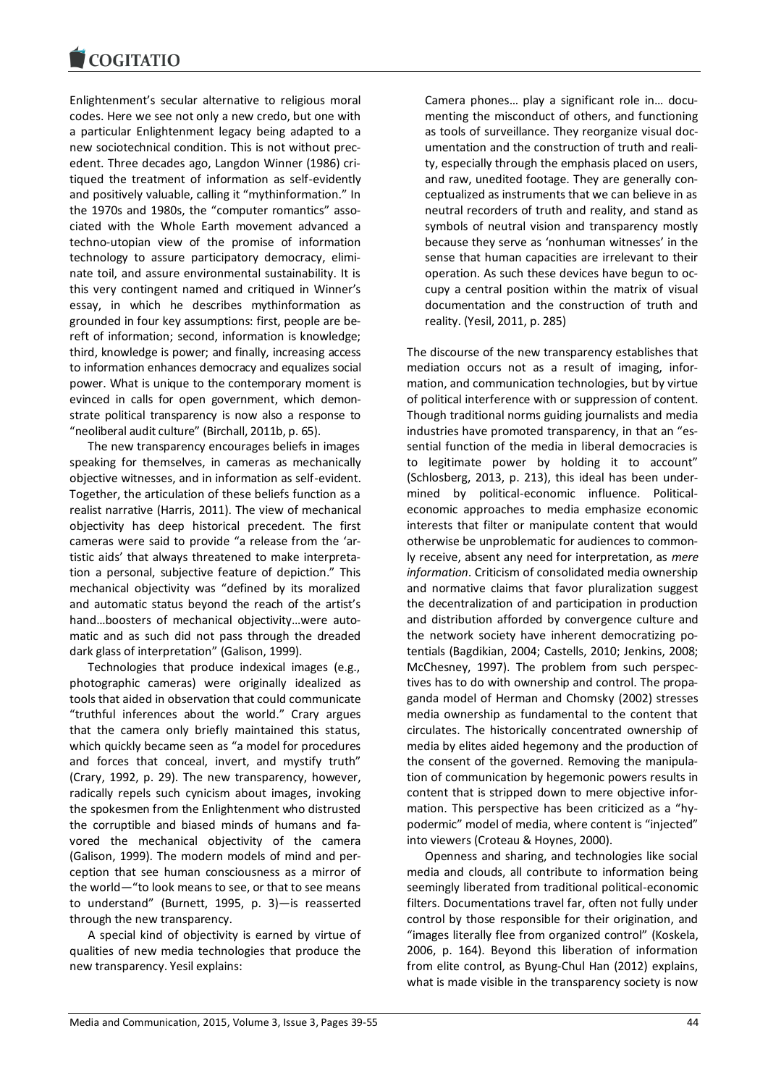

Enlightenment's secular alternative to religious moral codes. Here we see not only a new credo, but one with a particular Enlightenment legacy being adapted to a new sociotechnical condition. This is not without precedent. Three decades ago, Langdon Winner (1986) critiqued the treatment of information as self-evidently and positively valuable, calling it "mythinformation." In the 1970s and 1980s, the "computer romantics" associated with the Whole Earth movement advanced a techno-utopian view of the promise of information technology to assure participatory democracy, eliminate toil, and assure environmental sustainability. It is this very contingent named and critiqued in Winner's essay, in which he describes mythinformation as grounded in four key assumptions: first, people are bereft of information; second, information is knowledge; third, knowledge is power; and finally, increasing access to information enhances democracy and equalizes social power. What is unique to the contemporary moment is evinced in calls for open government, which demonstrate political transparency is now also a response to "neoliberal audit culture" (Birchall, 2011b, p. 65).

The new transparency encourages beliefs in images speaking for themselves, in cameras as mechanically objective witnesses, and in information as self-evident. Together, the articulation of these beliefs function as a realist narrative (Harris, 2011). The view of mechanical objectivity has deep historical precedent. The first cameras were said to provide "a release from the 'artistic aids' that always threatened to make interpretation a personal, subjective feature of depiction." This mechanical objectivity was "defined by its moralized and automatic status beyond the reach of the artist's hand…boosters of mechanical objectivity…were automatic and as such did not pass through the dreaded dark glass of interpretation" (Galison, 1999).

Technologies that produce indexical images (e.g., photographic cameras) were originally idealized as tools that aided in observation that could communicate "truthful inferences about the world." Crary argues that the camera only briefly maintained this status, which quickly became seen as "a model for procedures and forces that conceal, invert, and mystify truth" (Crary, 1992, p. 29). The new transparency, however, radically repels such cynicism about images, invoking the spokesmen from the Enlightenment who distrusted the corruptible and biased minds of humans and favored the mechanical objectivity of the camera (Galison, 1999). The modern models of mind and perception that see human consciousness as a mirror of the world—"to look means to see, or that to see means to understand" (Burnett, 1995, p. 3)—is reasserted through the new transparency.

A special kind of objectivity is earned by virtue of qualities of new media technologies that produce the new transparency. Yesil explains:

Camera phones… play a significant role in… documenting the misconduct of others, and functioning as tools of surveillance. They reorganize visual documentation and the construction of truth and reality, especially through the emphasis placed on users, and raw, unedited footage. They are generally conceptualized as instruments that we can believe in as neutral recorders of truth and reality, and stand as symbols of neutral vision and transparency mostly because they serve as 'nonhuman witnesses' in the sense that human capacities are irrelevant to their operation. As such these devices have begun to occupy a central position within the matrix of visual documentation and the construction of truth and reality. (Yesil, 2011, p. 285)

The discourse of the new transparency establishes that mediation occurs not as a result of imaging, information, and communication technologies, but by virtue of political interference with or suppression of content. Though traditional norms guiding journalists and media industries have promoted transparency, in that an "essential function of the media in liberal democracies is to legitimate power by holding it to account" (Schlosberg, 2013, p. 213), this ideal has been undermined by political-economic influence. Politicaleconomic approaches to media emphasize economic interests that filter or manipulate content that would otherwise be unproblematic for audiences to commonly receive, absent any need for interpretation, as *mere information*. Criticism of consolidated media ownership and normative claims that favor pluralization suggest the decentralization of and participation in production and distribution afforded by convergence culture and the network society have inherent democratizing potentials (Bagdikian, 2004; Castells, 2010; Jenkins, 2008; McChesney, 1997). The problem from such perspectives has to do with ownership and control. The propaganda model of Herman and Chomsky (2002) stresses media ownership as fundamental to the content that circulates. The historically concentrated ownership of media by elites aided hegemony and the production of the consent of the governed. Removing the manipulation of communication by hegemonic powers results in content that is stripped down to mere objective information. This perspective has been criticized as a "hypodermic" model of media, where content is "injected" into viewers (Croteau & Hoynes, 2000).

Openness and sharing, and technologies like social media and clouds, all contribute to information being seemingly liberated from traditional political-economic filters. Documentations travel far, often not fully under control by those responsible for their origination, and "images literally flee from organized control" (Koskela, 2006, p. 164). Beyond this liberation of information from elite control, as Byung-Chul Han (2012) explains, what is made visible in the transparency society is now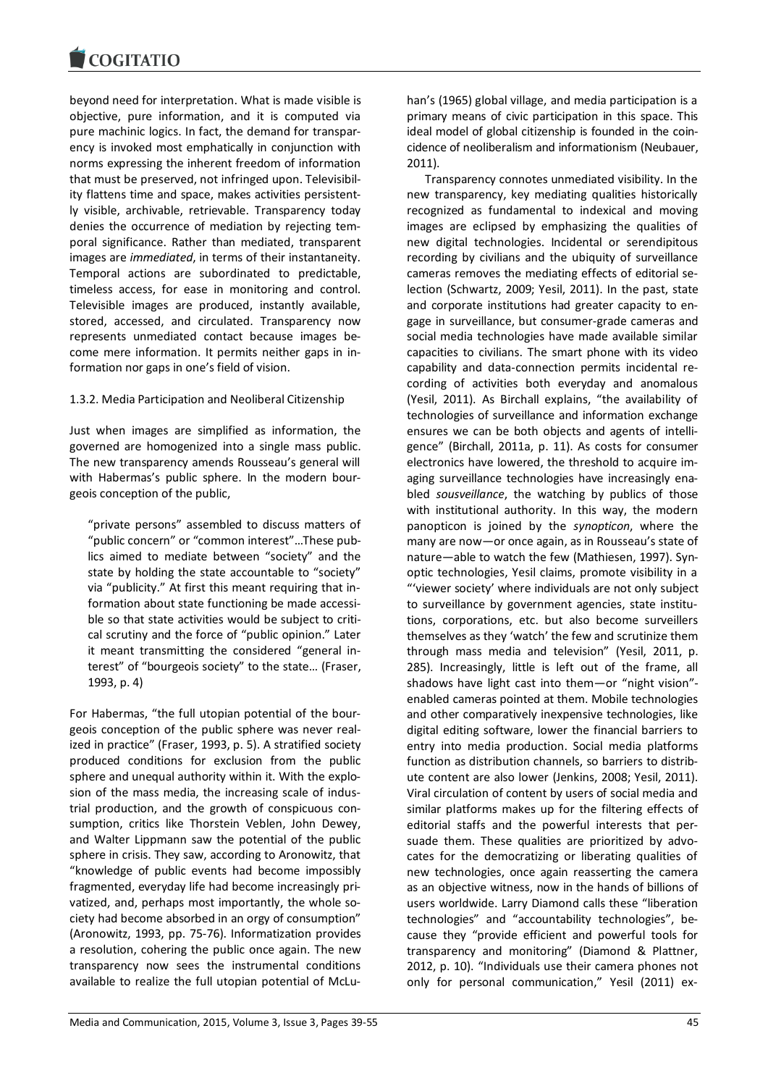beyond need for interpretation. What is made visible is objective, pure information, and it is computed via pure machinic logics. In fact, the demand for transparency is invoked most emphatically in conjunction with norms expressing the inherent freedom of information that must be preserved, not infringed upon. Televisibility flattens time and space, makes activities persistently visible, archivable, retrievable. Transparency today denies the occurrence of mediation by rejecting temporal significance. Rather than mediated, transparent images are *immediated*, in terms of their instantaneity. Temporal actions are subordinated to predictable, timeless access, for ease in monitoring and control. Televisible images are produced, instantly available, stored, accessed, and circulated. Transparency now represents unmediated contact because images become mere information. It permits neither gaps in information nor gaps in one's field of vision.

## 1.3.2. Media Participation and Neoliberal Citizenship

Just when images are simplified as information, the governed are homogenized into a single mass public. The new transparency amends Rousseau's general will with Habermas's public sphere. In the modern bourgeois conception of the public,

"private persons" assembled to discuss matters of "public concern" or "common interest"…These publics aimed to mediate between "society" and the state by holding the state accountable to "society" via "publicity." At first this meant requiring that information about state functioning be made accessible so that state activities would be subject to critical scrutiny and the force of "public opinion." Later it meant transmitting the considered "general interest" of "bourgeois society" to the state… (Fraser, 1993, p. 4)

For Habermas, "the full utopian potential of the bourgeois conception of the public sphere was never realized in practice" (Fraser, 1993, p. 5). A stratified society produced conditions for exclusion from the public sphere and unequal authority within it. With the explosion of the mass media, the increasing scale of industrial production, and the growth of conspicuous consumption, critics like Thorstein Veblen, John Dewey, and Walter Lippmann saw the potential of the public sphere in crisis. They saw, according to Aronowitz, that "knowledge of public events had become impossibly fragmented, everyday life had become increasingly privatized, and, perhaps most importantly, the whole society had become absorbed in an orgy of consumption" (Aronowitz, 1993, pp. 75-76). Informatization provides a resolution, cohering the public once again. The new transparency now sees the instrumental conditions available to realize the full utopian potential of McLuhan's (1965) global village, and media participation is a primary means of civic participation in this space. This ideal model of global citizenship is founded in the coincidence of neoliberalism and informationism (Neubauer, 2011).

Transparency connotes unmediated visibility. In the new transparency, key mediating qualities historically recognized as fundamental to indexical and moving images are eclipsed by emphasizing the qualities of new digital technologies. Incidental or serendipitous recording by civilians and the ubiquity of surveillance cameras removes the mediating effects of editorial selection (Schwartz, 2009; Yesil, 2011). In the past, state and corporate institutions had greater capacity to engage in surveillance, but consumer-grade cameras and social media technologies have made available similar capacities to civilians. The smart phone with its video capability and data-connection permits incidental recording of activities both everyday and anomalous (Yesil, 2011). As Birchall explains, "the availability of technologies of surveillance and information exchange ensures we can be both objects and agents of intelligence" (Birchall, 2011a, p. 11). As costs for consumer electronics have lowered, the threshold to acquire imaging surveillance technologies have increasingly enabled *sousveillance*, the watching by publics of those with institutional authority. In this way, the modern panopticon is joined by the *synopticon*, where the many are now—or once again, as in Rousseau's state of nature—able to watch the few (Mathiesen, 1997). Synoptic technologies, Yesil claims, promote visibility in a "'viewer society' where individuals are not only subject to surveillance by government agencies, state institutions, corporations, etc. but also become surveillers themselves as they 'watch' the few and scrutinize them through mass media and television" (Yesil, 2011, p. 285). Increasingly, little is left out of the frame, all shadows have light cast into them—or "night vision" enabled cameras pointed at them. Mobile technologies and other comparatively inexpensive technologies, like digital editing software, lower the financial barriers to entry into media production. Social media platforms function as distribution channels, so barriers to distribute content are also lower (Jenkins, 2008; Yesil, 2011). Viral circulation of content by users of social media and similar platforms makes up for the filtering effects of editorial staffs and the powerful interests that persuade them. These qualities are prioritized by advocates for the democratizing or liberating qualities of new technologies, once again reasserting the camera as an objective witness, now in the hands of billions of users worldwide. Larry Diamond calls these "liberation technologies" and "accountability technologies", because they "provide efficient and powerful tools for transparency and monitoring" (Diamond & Plattner, 2012, p. 10). "Individuals use their camera phones not only for personal communication," Yesil (2011) ex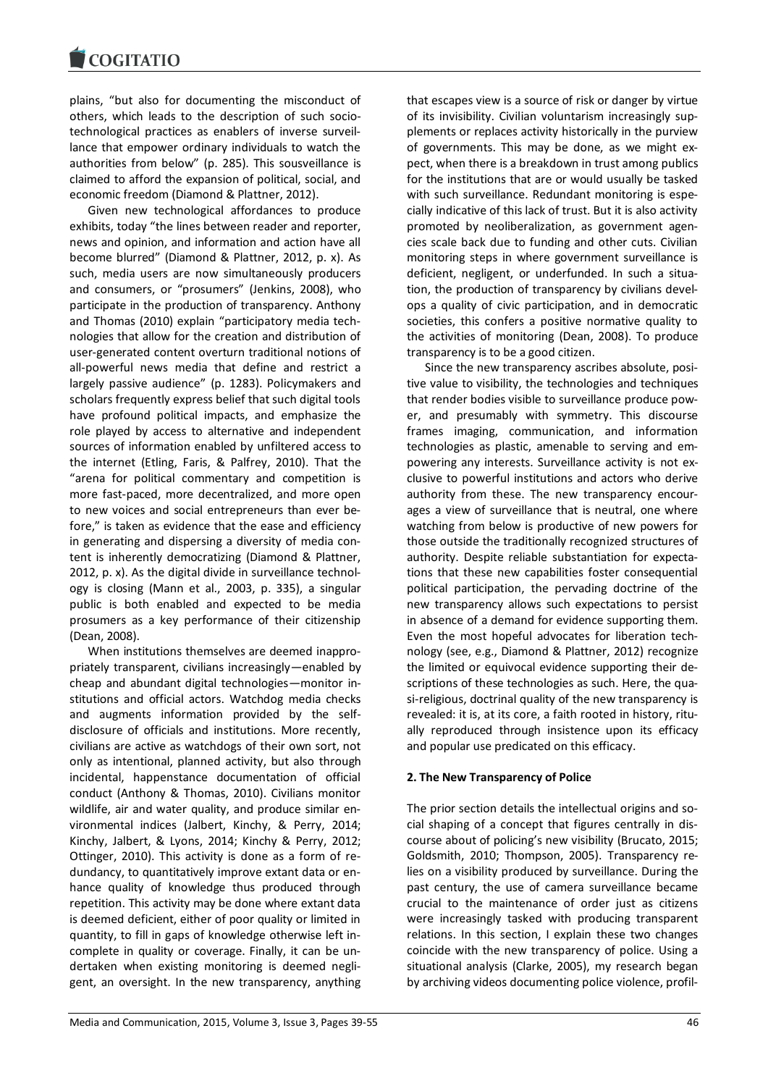plains, "but also for documenting the misconduct of others, which leads to the description of such sociotechnological practices as enablers of inverse surveillance that empower ordinary individuals to watch the authorities from below" (p. 285). This sousveillance is claimed to afford the expansion of political, social, and economic freedom (Diamond & Plattner, 2012).

Given new technological affordances to produce exhibits, today "the lines between reader and reporter, news and opinion, and information and action have all become blurred" (Diamond & Plattner, 2012, p. x). As such, media users are now simultaneously producers and consumers, or "prosumers" (Jenkins, 2008), who participate in the production of transparency. Anthony and Thomas (2010) explain "participatory media technologies that allow for the creation and distribution of user-generated content overturn traditional notions of all-powerful news media that define and restrict a largely passive audience" (p. 1283). Policymakers and scholars frequently express belief that such digital tools have profound political impacts, and emphasize the role played by access to alternative and independent sources of information enabled by unfiltered access to the internet (Etling, Faris, & Palfrey, 2010). That the "arena for political commentary and competition is more fast-paced, more decentralized, and more open to new voices and social entrepreneurs than ever before," is taken as evidence that the ease and efficiency in generating and dispersing a diversity of media content is inherently democratizing (Diamond & Plattner, 2012, p. x). As the digital divide in surveillance technology is closing (Mann et al., 2003, p. 335), a singular public is both enabled and expected to be media prosumers as a key performance of their citizenship (Dean, 2008).

When institutions themselves are deemed inappropriately transparent, civilians increasingly—enabled by cheap and abundant digital technologies—monitor institutions and official actors. Watchdog media checks and augments information provided by the selfdisclosure of officials and institutions. More recently, civilians are active as watchdogs of their own sort, not only as intentional, planned activity, but also through incidental, happenstance documentation of official conduct (Anthony & Thomas, 2010). Civilians monitor wildlife, air and water quality, and produce similar environmental indices (Jalbert, Kinchy, & Perry, 2014; Kinchy, Jalbert, & Lyons, 2014; Kinchy & Perry, 2012; Ottinger, 2010). This activity is done as a form of redundancy, to quantitatively improve extant data or enhance quality of knowledge thus produced through repetition. This activity may be done where extant data is deemed deficient, either of poor quality or limited in quantity, to fill in gaps of knowledge otherwise left incomplete in quality or coverage. Finally, it can be undertaken when existing monitoring is deemed negligent, an oversight. In the new transparency, anything

transparency is to be a good citizen. Since the new transparency ascribes absolute, positive value to visibility, the technologies and techniques that render bodies visible to surveillance produce power, and presumably with symmetry. This discourse frames imaging, communication, and information technologies as plastic, amenable to serving and empowering any interests. Surveillance activity is not exclusive to powerful institutions and actors who derive authority from these. The new transparency encourages a view of surveillance that is neutral, one where watching from below is productive of new powers for those outside the traditionally recognized structures of authority. Despite reliable substantiation for expectations that these new capabilities foster consequential

political participation, the pervading doctrine of the new transparency allows such expectations to persist in absence of a demand for evidence supporting them. Even the most hopeful advocates for liberation technology (see, e.g., Diamond & Plattner, 2012) recognize the limited or equivocal evidence supporting their descriptions of these technologies as such. Here, the quasi-religious, doctrinal quality of the new transparency is revealed: it is, at its core, a faith rooted in history, ritually reproduced through insistence upon its efficacy and popular use predicated on this efficacy.

that escapes view is a source of risk or danger by virtue of its invisibility. Civilian voluntarism increasingly supplements or replaces activity historically in the purview of governments. This may be done, as we might expect, when there is a breakdown in trust among publics for the institutions that are or would usually be tasked with such surveillance. Redundant monitoring is especially indicative of this lack of trust. But it is also activity promoted by neoliberalization, as government agencies scale back due to funding and other cuts. Civilian monitoring steps in where government surveillance is deficient, negligent, or underfunded. In such a situation, the production of transparency by civilians develops a quality of civic participation, and in democratic societies, this confers a positive normative quality to the activities of monitoring (Dean, 2008). To produce

## **2. The New Transparency of Police**

The prior section details the intellectual origins and social shaping of a concept that figures centrally in discourse about of policing's new visibility (Brucato, 2015; Goldsmith, 2010; Thompson, 2005). Transparency relies on a visibility produced by surveillance. During the past century, the use of camera surveillance became crucial to the maintenance of order just as citizens were increasingly tasked with producing transparent relations. In this section, I explain these two changes coincide with the new transparency of police. Using a situational analysis (Clarke, 2005), my research began by archiving videos documenting police violence, profil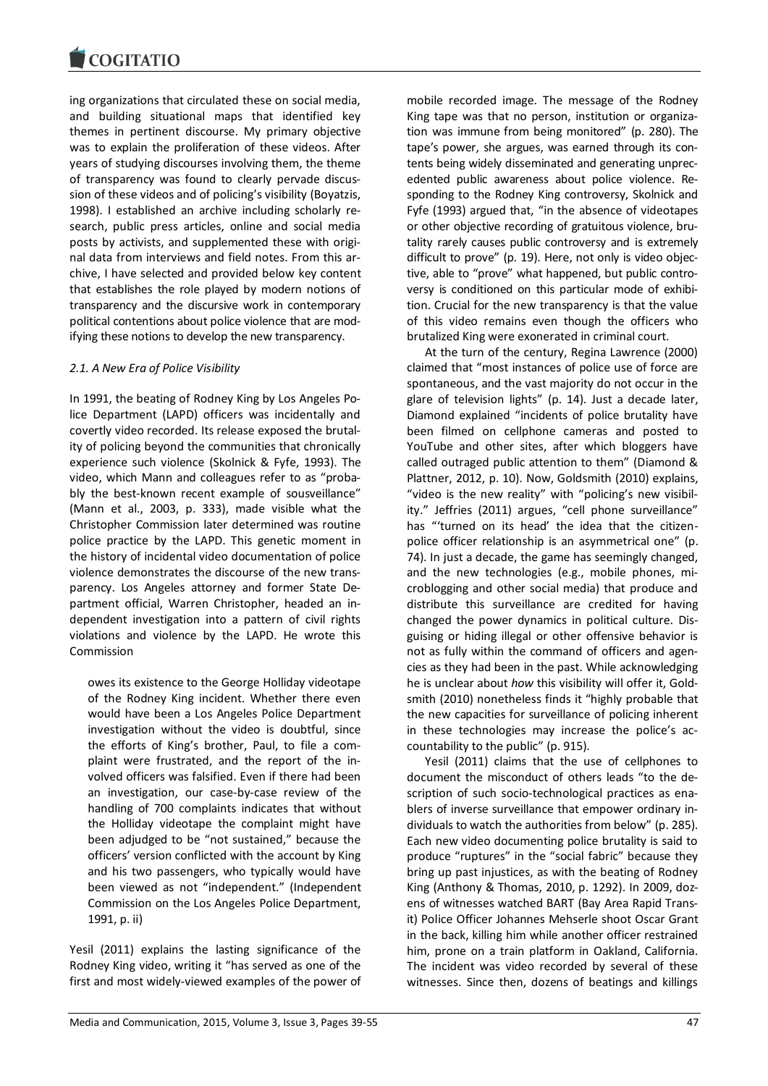ing organizations that circulated these on social media, and building situational maps that identified key themes in pertinent discourse. My primary objective was to explain the proliferation of these videos. After years of studying discourses involving them, the theme of transparency was found to clearly pervade discussion of these videos and of policing's visibility (Boyatzis, 1998). I established an archive including scholarly research, public press articles, online and social media posts by activists, and supplemented these with original data from interviews and field notes. From this archive, I have selected and provided below key content that establishes the role played by modern notions of transparency and the discursive work in contemporary political contentions about police violence that are modifying these notions to develop the new transparency.

## *2.1. A New Era of Police Visibility*

In 1991, the beating of Rodney King by Los Angeles Police Department (LAPD) officers was incidentally and covertly video recorded. Its release exposed the brutality of policing beyond the communities that chronically experience such violence (Skolnick & Fyfe, 1993). The video, which Mann and colleagues refer to as "probably the best-known recent example of sousveillance" (Mann et al., 2003, p. 333), made visible what the Christopher Commission later determined was routine police practice by the LAPD. This genetic moment in the history of incidental video documentation of police violence demonstrates the discourse of the new transparency. Los Angeles attorney and former State Department official, Warren Christopher, headed an independent investigation into a pattern of civil rights violations and violence by the LAPD. He wrote this Commission

owes its existence to the George Holliday videotape of the Rodney King incident. Whether there even would have been a Los Angeles Police Department investigation without the video is doubtful, since the efforts of King's brother, Paul, to file a complaint were frustrated, and the report of the involved officers was falsified. Even if there had been an investigation, our case-by-case review of the handling of 700 complaints indicates that without the Holliday videotape the complaint might have been adjudged to be "not sustained," because the officers' version conflicted with the account by King and his two passengers, who typically would have been viewed as not "independent." (Independent Commission on the Los Angeles Police Department, 1991, p. ii)

Yesil (2011) explains the lasting significance of the Rodney King video, writing it "has served as one of the first and most widely-viewed examples of the power of mobile recorded image. The message of the Rodney King tape was that no person, institution or organization was immune from being monitored" (p. 280). The tape's power, she argues, was earned through its contents being widely disseminated and generating unprecedented public awareness about police violence. Responding to the Rodney King controversy, Skolnick and Fyfe (1993) argued that, "in the absence of videotapes or other objective recording of gratuitous violence, brutality rarely causes public controversy and is extremely difficult to prove" (p. 19). Here, not only is video objective, able to "prove" what happened, but public controversy is conditioned on this particular mode of exhibition. Crucial for the new transparency is that the value of this video remains even though the officers who brutalized King were exonerated in criminal court.

At the turn of the century, Regina Lawrence (2000) claimed that "most instances of police use of force are spontaneous, and the vast majority do not occur in the glare of television lights" (p. 14). Just a decade later, Diamond explained "incidents of police brutality have been filmed on cellphone cameras and posted to YouTube and other sites, after which bloggers have called outraged public attention to them" (Diamond & Plattner, 2012, p. 10). Now, Goldsmith (2010) explains, "video is the new reality" with "policing's new visibility." Jeffries (2011) argues, "cell phone surveillance" has "'turned on its head' the idea that the citizenpolice officer relationship is an asymmetrical one" (p. 74). In just a decade, the game has seemingly changed, and the new technologies (e.g., mobile phones, microblogging and other social media) that produce and distribute this surveillance are credited for having changed the power dynamics in political culture. Disguising or hiding illegal or other offensive behavior is not as fully within the command of officers and agencies as they had been in the past. While acknowledging he is unclear about *how* this visibility will offer it, Goldsmith (2010) nonetheless finds it "highly probable that the new capacities for surveillance of policing inherent in these technologies may increase the police's accountability to the public" (p. 915).

Yesil (2011) claims that the use of cellphones to document the misconduct of others leads "to the description of such socio-technological practices as enablers of inverse surveillance that empower ordinary individuals to watch the authorities from below" (p. 285). Each new video documenting police brutality is said to produce "ruptures" in the "social fabric" because they bring up past injustices, as with the beating of Rodney King (Anthony & Thomas, 2010, p. 1292). In 2009, dozens of witnesses watched BART (Bay Area Rapid Transit) Police Officer Johannes Mehserle shoot Oscar Grant in the back, killing him while another officer restrained him, prone on a train platform in Oakland, California. The incident was video recorded by several of these witnesses. Since then, dozens of beatings and killings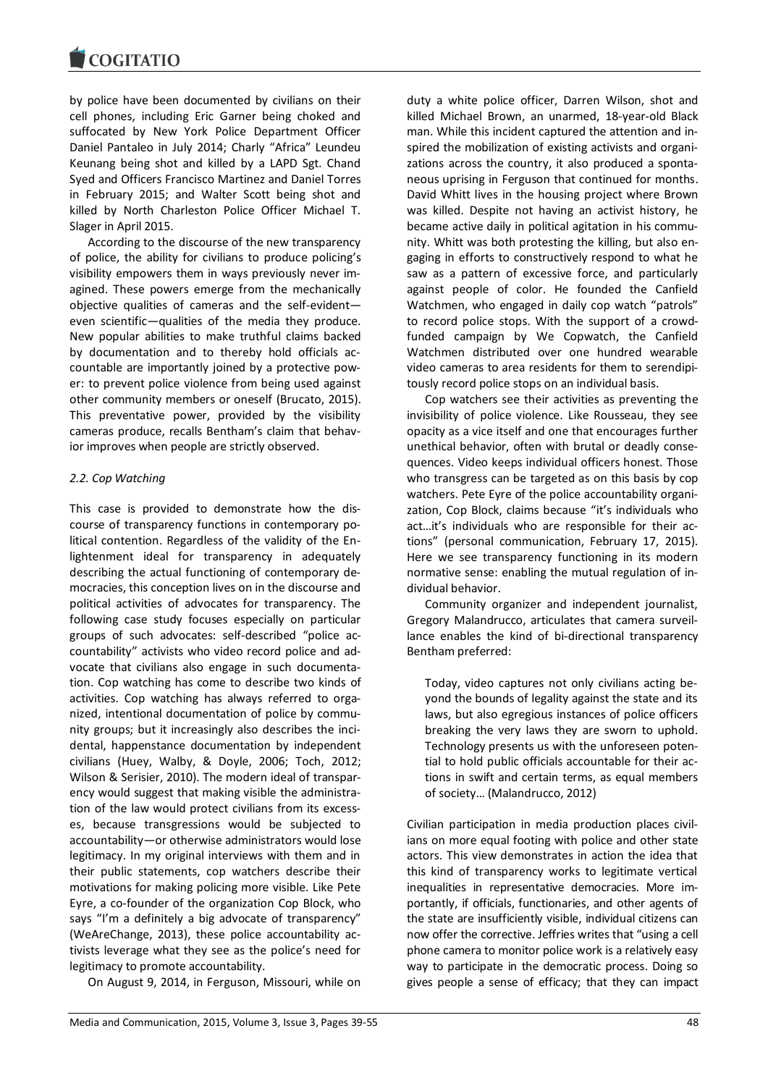by police have been documented by civilians on their cell phones, including Eric Garner being choked and suffocated by New York Police Department Officer Daniel Pantaleo in July 2014; Charly "Africa" Leundeu Keunang being shot and killed by a LAPD Sgt. Chand Syed and Officers Francisco Martinez and Daniel Torres in February 2015; and Walter Scott being shot and killed by North Charleston Police Officer Michael T. Slager in April 2015.

According to the discourse of the new transparency of police, the ability for civilians to produce policing's visibility empowers them in ways previously never imagined. These powers emerge from the mechanically objective qualities of cameras and the self-evident even scientific—qualities of the media they produce. New popular abilities to make truthful claims backed by documentation and to thereby hold officials accountable are importantly joined by a protective power: to prevent police violence from being used against other community members or oneself (Brucato, 2015). This preventative power, provided by the visibility cameras produce, recalls Bentham's claim that behavior improves when people are strictly observed.

## *2.2. Cop Watching*

This case is provided to demonstrate how the discourse of transparency functions in contemporary political contention. Regardless of the validity of the Enlightenment ideal for transparency in adequately describing the actual functioning of contemporary democracies, this conception lives on in the discourse and political activities of advocates for transparency. The following case study focuses especially on particular groups of such advocates: self-described "police accountability" activists who video record police and advocate that civilians also engage in such documentation. Cop watching has come to describe two kinds of activities. Cop watching has always referred to organized, intentional documentation of police by community groups; but it increasingly also describes the incidental, happenstance documentation by independent civilians (Huey, Walby, & Doyle, 2006; Toch, 2012; Wilson & Serisier, 2010). The modern ideal of transparency would suggest that making visible the administration of the law would protect civilians from its excesses, because transgressions would be subjected to accountability—or otherwise administrators would lose legitimacy. In my original interviews with them and in their public statements, cop watchers describe their motivations for making policing more visible. Like Pete Eyre, a co-founder of the organization Cop Block, who says "I'm a definitely a big advocate of transparency" (WeAreChange, 2013), these police accountability activists leverage what they see as the police's need for legitimacy to promote accountability.

On August 9, 2014, in Ferguson, Missouri, while on

duty a white police officer, Darren Wilson, shot and killed Michael Brown, an unarmed, 18-year-old Black man. While this incident captured the attention and inspired the mobilization of existing activists and organizations across the country, it also produced a spontaneous uprising in Ferguson that continued for months. David Whitt lives in the housing project where Brown was killed. Despite not having an activist history, he became active daily in political agitation in his community. Whitt was both protesting the killing, but also engaging in efforts to constructively respond to what he saw as a pattern of excessive force, and particularly against people of color. He founded the Canfield Watchmen, who engaged in daily cop watch "patrols" to record police stops. With the support of a crowdfunded campaign by We Copwatch, the Canfield Watchmen distributed over one hundred wearable video cameras to area residents for them to serendipitously record police stops on an individual basis.

Cop watchers see their activities as preventing the invisibility of police violence. Like Rousseau, they see opacity as a vice itself and one that encourages further unethical behavior, often with brutal or deadly consequences. Video keeps individual officers honest. Those who transgress can be targeted as on this basis by cop watchers. Pete Eyre of the police accountability organization, Cop Block, claims because "it's individuals who act…it's individuals who are responsible for their actions" (personal communication, February 17, 2015). Here we see transparency functioning in its modern normative sense: enabling the mutual regulation of individual behavior.

Community organizer and independent journalist, Gregory Malandrucco, articulates that camera surveillance enables the kind of bi-directional transparency Bentham preferred:

Today, video captures not only civilians acting beyond the bounds of legality against the state and its laws, but also egregious instances of police officers breaking the very laws they are sworn to uphold. Technology presents us with the unforeseen potential to hold public officials accountable for their actions in swift and certain terms, as equal members of society… (Malandrucco, 2012)

Civilian participation in media production places civilians on more equal footing with police and other state actors. This view demonstrates in action the idea that this kind of transparency works to legitimate vertical inequalities in representative democracies. More importantly, if officials, functionaries, and other agents of the state are insufficiently visible, individual citizens can now offer the corrective. Jeffries writes that "using a cell phone camera to monitor police work is a relatively easy way to participate in the democratic process. Doing so gives people a sense of efficacy; that they can impact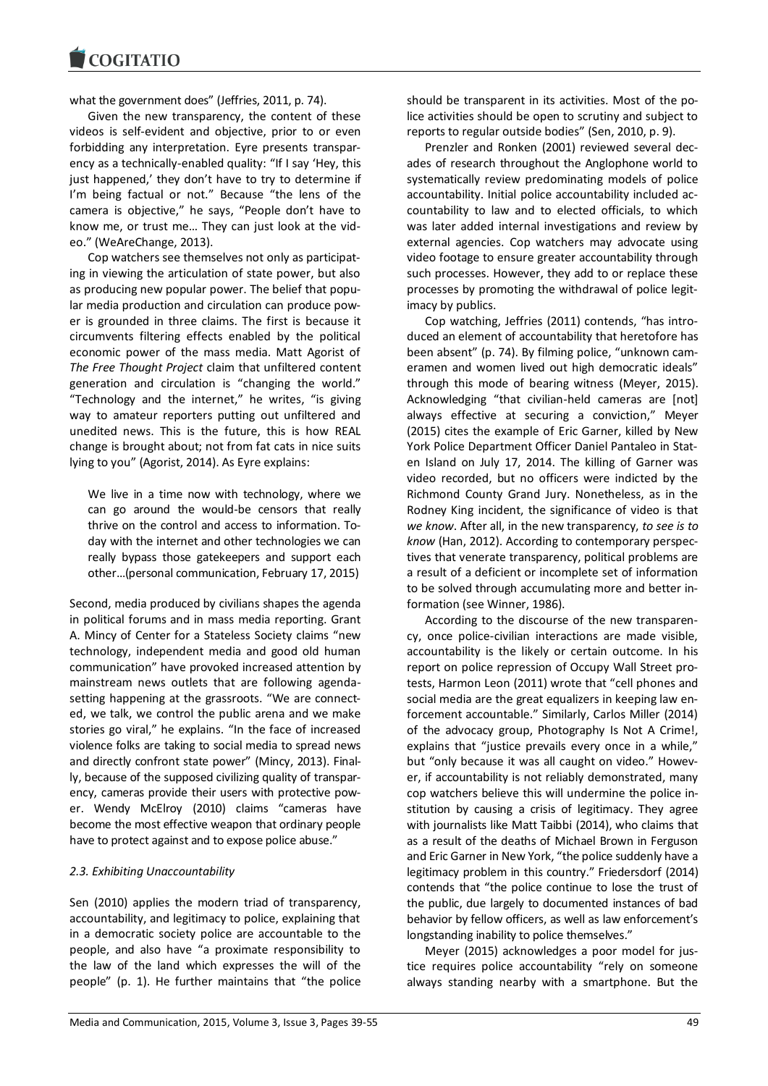what the government does" (Jeffries, 2011, p. 74).

Given the new transparency, the content of these videos is self-evident and objective, prior to or even forbidding any interpretation. Eyre presents transparency as a technically-enabled quality: "If I say 'Hey, this just happened,' they don't have to try to determine if I'm being factual or not." Because "the lens of the camera is objective," he says, "People don't have to know me, or trust me… They can just look at the video." (WeAreChange, 2013).

Cop watchers see themselves not only as participating in viewing the articulation of state power, but also as producing new popular power. The belief that popular media production and circulation can produce power is grounded in three claims. The first is because it circumvents filtering effects enabled by the political economic power of the mass media. Matt Agorist of *The Free Thought Project* claim that unfiltered content generation and circulation is "changing the world." "Technology and the internet," he writes, "is giving way to amateur reporters putting out unfiltered and unedited news. This is the future, this is how REAL change is brought about; not from fat cats in nice suits lying to you" (Agorist, 2014). As Eyre explains:

We live in a time now with technology, where we can go around the would-be censors that really thrive on the control and access to information. Today with the internet and other technologies we can really bypass those gatekeepers and support each other…(personal communication, February 17, 2015)

Second, media produced by civilians shapes the agenda in political forums and in mass media reporting. Grant A. Mincy of Center for a Stateless Society claims "new technology, independent media and good old human communication" have provoked increased attention by mainstream news outlets that are following agendasetting happening at the grassroots. "We are connected, we talk, we control the public arena and we make stories go viral," he explains. "In the face of increased violence folks are taking to social media to spread news and directly confront state power" (Mincy, 2013). Finally, because of the supposed civilizing quality of transparency, cameras provide their users with protective power. Wendy McElroy (2010) claims "cameras have become the most effective weapon that ordinary people have to protect against and to expose police abuse."

## *2.3. Exhibiting Unaccountability*

Sen (2010) applies the modern triad of transparency, accountability, and legitimacy to police, explaining that in a democratic society police are accountable to the people, and also have "a proximate responsibility to the law of the land which expresses the will of the people" (p. 1). He further maintains that "the police

should be transparent in its activities. Most of the police activities should be open to scrutiny and subject to reports to regular outside bodies" (Sen, 2010, p. 9).

Prenzler and Ronken (2001) reviewed several decades of research throughout the Anglophone world to systematically review predominating models of police accountability. Initial police accountability included accountability to law and to elected officials, to which was later added internal investigations and review by external agencies. Cop watchers may advocate using video footage to ensure greater accountability through such processes. However, they add to or replace these processes by promoting the withdrawal of police legitimacy by publics.

Cop watching, Jeffries (2011) contends, "has introduced an element of accountability that heretofore has been absent" (p. 74). By filming police, "unknown cameramen and women lived out high democratic ideals" through this mode of bearing witness (Meyer, 2015). Acknowledging "that civilian-held cameras are [not] always effective at securing a conviction," Meyer (2015) cites the example of Eric Garner, killed by New York Police Department Officer Daniel Pantaleo in Staten Island on July 17, 2014. The killing of Garner was video recorded, but no officers were indicted by the Richmond County Grand Jury. Nonetheless, as in the Rodney King incident, the significance of video is that *we know*. After all, in the new transparency, *to see is to know* (Han, 2012). According to contemporary perspectives that venerate transparency, political problems are a result of a deficient or incomplete set of information to be solved through accumulating more and better information (see Winner, 1986).

According to the discourse of the new transparency, once police-civilian interactions are made visible, accountability is the likely or certain outcome. In his report on police repression of Occupy Wall Street protests, Harmon Leon (2011) wrote that "cell phones and social media are the great equalizers in keeping law enforcement accountable." Similarly, Carlos Miller (2014) of the advocacy group, Photography Is Not A Crime!, explains that "justice prevails every once in a while," but "only because it was all caught on video." However, if accountability is not reliably demonstrated, many cop watchers believe this will undermine the police institution by causing a crisis of legitimacy. They agree with journalists like Matt Taibbi (2014), who claims that as a result of the deaths of Michael Brown in Ferguson and Eric Garner in New York, "the police suddenly have a legitimacy problem in this country." Friedersdorf (2014) contends that "the police continue to lose the trust of the public, due largely to documented instances of bad behavior by fellow officers, as well as law enforcement's longstanding inability to police themselves."

Meyer (2015) acknowledges a poor model for justice requires police accountability "rely on someone always standing nearby with a smartphone. But the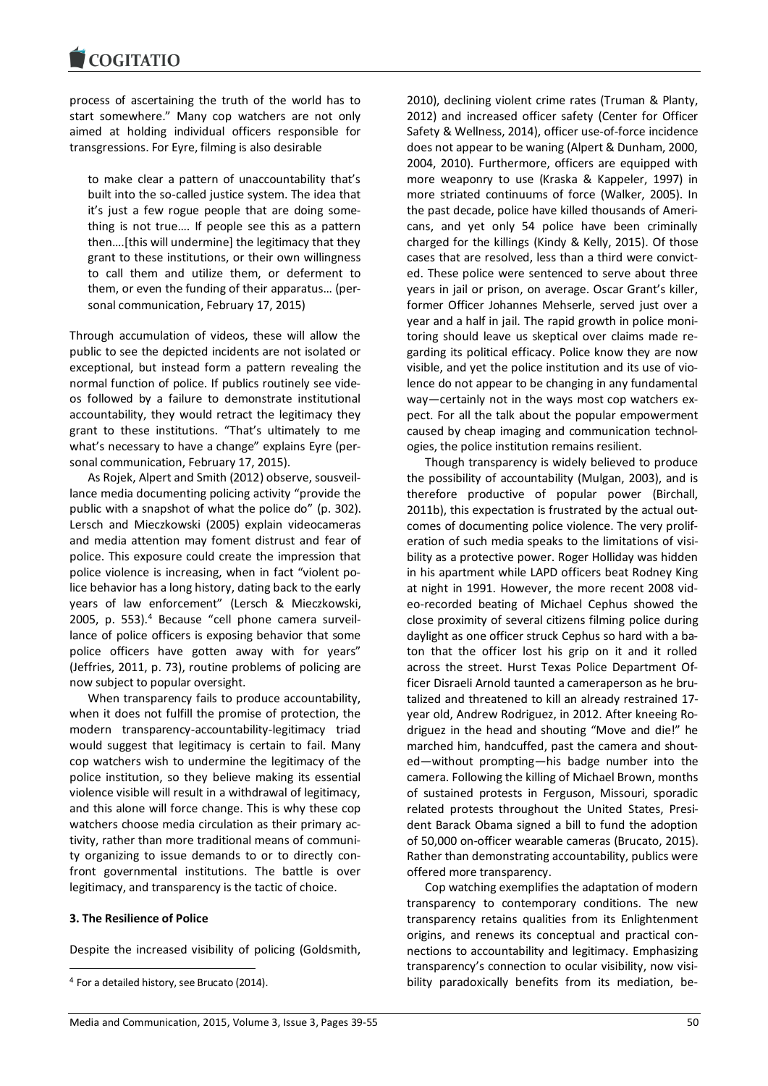process of ascertaining the truth of the world has to start somewhere." Many cop watchers are not only aimed at holding individual officers responsible for transgressions. For Eyre, filming is also desirable

to make clear a pattern of unaccountability that's built into the so-called justice system. The idea that it's just a few rogue people that are doing something is not true…. If people see this as a pattern then….[this will undermine] the legitimacy that they grant to these institutions, or their own willingness to call them and utilize them, or deferment to them, or even the funding of their apparatus… (personal communication, February 17, 2015)

Through accumulation of videos, these will allow the public to see the depicted incidents are not isolated or exceptional, but instead form a pattern revealing the normal function of police. If publics routinely see videos followed by a failure to demonstrate institutional accountability, they would retract the legitimacy they grant to these institutions. "That's ultimately to me what's necessary to have a change" explains Eyre (personal communication, February 17, 2015).

As Rojek, Alpert and Smith (2012) observe, sousveillance media documenting policing activity "provide the public with a snapshot of what the police do" (p. 302). Lersch and Mieczkowski (2005) explain videocameras and media attention may foment distrust and fear of police. This exposure could create the impression that police violence is increasing, when in fact "violent police behavior has a long history, dating back to the early years of law enforcement" (Lersch & Mieczkowski, 2005, p. 553). <sup>4</sup> Because "cell phone camera surveillance of police officers is exposing behavior that some police officers have gotten away with for years" (Jeffries, 2011, p. 73), routine problems of policing are now subject to popular oversight.

When transparency fails to produce accountability, when it does not fulfill the promise of protection, the modern transparency-accountability-legitimacy triad would suggest that legitimacy is certain to fail. Many cop watchers wish to undermine the legitimacy of the police institution, so they believe making its essential violence visible will result in a withdrawal of legitimacy, and this alone will force change. This is why these cop watchers choose media circulation as their primary activity, rather than more traditional means of community organizing to issue demands to or to directly confront governmental institutions. The battle is over legitimacy, and transparency is the tactic of choice.

#### **3. The Resilience of Police**

1

Despite the increased visibility of policing (Goldsmith,

2010), declining violent crime rates (Truman & Planty, 2012) and increased officer safety (Center for Officer Safety & Wellness, 2014), officer use-of-force incidence does not appear to be waning (Alpert & Dunham, 2000, 2004, 2010). Furthermore, officers are equipped with more weaponry to use (Kraska & Kappeler, 1997) in more striated continuums of force (Walker, 2005). In the past decade, police have killed thousands of Americans, and yet only 54 police have been criminally charged for the killings (Kindy & Kelly, 2015). Of those cases that are resolved, less than a third were convicted. These police were sentenced to serve about three years in jail or prison, on average. Oscar Grant's killer, former Officer Johannes Mehserle, served just over a year and a half in jail. The rapid growth in police monitoring should leave us skeptical over claims made regarding its political efficacy. Police know they are now visible, and yet the police institution and its use of violence do not appear to be changing in any fundamental way—certainly not in the ways most cop watchers expect. For all the talk about the popular empowerment caused by cheap imaging and communication technologies, the police institution remains resilient.

Though transparency is widely believed to produce the possibility of accountability (Mulgan, 2003), and is therefore productive of popular power (Birchall, 2011b), this expectation is frustrated by the actual outcomes of documenting police violence. The very proliferation of such media speaks to the limitations of visibility as a protective power. Roger Holliday was hidden in his apartment while LAPD officers beat Rodney King at night in 1991. However, the more recent 2008 video-recorded beating of Michael Cephus showed the close proximity of several citizens filming police during daylight as one officer struck Cephus so hard with a baton that the officer lost his grip on it and it rolled across the street. Hurst Texas Police Department Officer Disraeli Arnold taunted a cameraperson as he brutalized and threatened to kill an already restrained 17 year old, Andrew Rodriguez, in 2012. After kneeing Rodriguez in the head and shouting "Move and die!" he marched him, handcuffed, past the camera and shouted—without prompting—his badge number into the camera. Following the killing of Michael Brown, months of sustained protests in Ferguson, Missouri, sporadic related protests throughout the United States, President Barack Obama signed a bill to fund the adoption of 50,000 on-officer wearable cameras (Brucato, 2015). Rather than demonstrating accountability, publics were offered more transparency.

Cop watching exemplifies the adaptation of modern transparency to contemporary conditions. The new transparency retains qualities from its Enlightenment origins, and renews its conceptual and practical connections to accountability and legitimacy. Emphasizing transparency's connection to ocular visibility, now visibility paradoxically benefits from its mediation, be-

<sup>4</sup> For a detailed history, see Brucato (2014).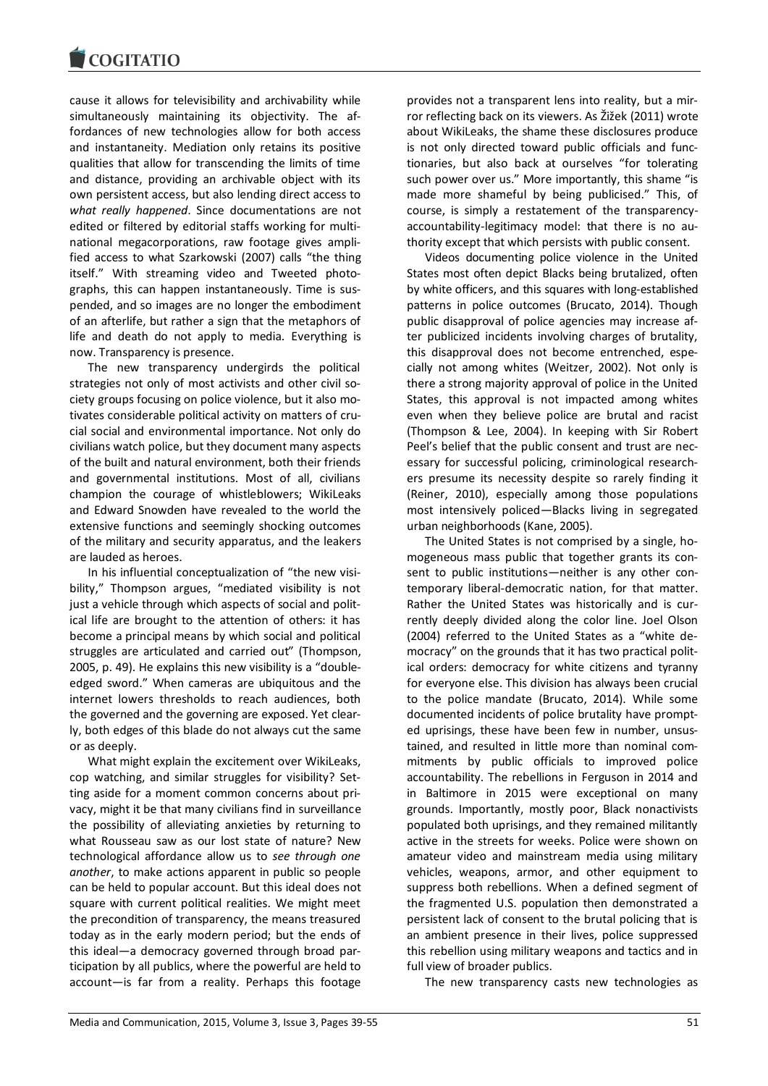

cause it allows for televisibility and archivability while simultaneously maintaining its objectivity. The affordances of new technologies allow for both access and instantaneity. Mediation only retains its positive qualities that allow for transcending the limits of time and distance, providing an archivable object with its own persistent access, but also lending direct access to *what really happened*. Since documentations are not edited or filtered by editorial staffs working for multinational megacorporations, raw footage gives amplified access to what Szarkowski (2007) calls "the thing itself." With streaming video and Tweeted photographs, this can happen instantaneously. Time is suspended, and so images are no longer the embodiment of an afterlife, but rather a sign that the metaphors of life and death do not apply to media. Everything is now. Transparency is presence.

The new transparency undergirds the political strategies not only of most activists and other civil society groups focusing on police violence, but it also motivates considerable political activity on matters of crucial social and environmental importance. Not only do civilians watch police, but they document many aspects of the built and natural environment, both their friends and governmental institutions. Most of all, civilians champion the courage of whistleblowers; WikiLeaks and Edward Snowden have revealed to the world the extensive functions and seemingly shocking outcomes of the military and security apparatus, and the leakers are lauded as heroes.

In his influential conceptualization of "the new visibility," Thompson argues, "mediated visibility is not just a vehicle through which aspects of social and political life are brought to the attention of others: it has become a principal means by which social and political struggles are articulated and carried out" (Thompson, 2005, p. 49). He explains this new visibility is a "doubleedged sword." When cameras are ubiquitous and the internet lowers thresholds to reach audiences, both the governed and the governing are exposed. Yet clearly, both edges of this blade do not always cut the same or as deeply.

What might explain the excitement over WikiLeaks, cop watching, and similar struggles for visibility? Setting aside for a moment common concerns about privacy, might it be that many civilians find in surveillance the possibility of alleviating anxieties by returning to what Rousseau saw as our lost state of nature? New technological affordance allow us to *see through one another*, to make actions apparent in public so people can be held to popular account. But this ideal does not square with current political realities. We might meet the precondition of transparency, the means treasured today as in the early modern period; but the ends of this ideal—a democracy governed through broad participation by all publics, where the powerful are held to account—is far from a reality. Perhaps this footage

provides not a transparent lens into reality, but a mirror reflecting back on its viewers. As Žižek (2011) wrote about WikiLeaks, the shame these disclosures produce is not only directed toward public officials and functionaries, but also back at ourselves "for tolerating such power over us." More importantly, this shame "is made more shameful by being publicised." This, of course, is simply a restatement of the transparencyaccountability-legitimacy model: that there is no authority except that which persists with public consent.

Videos documenting police violence in the United States most often depict Blacks being brutalized, often by white officers, and this squares with long-established patterns in police outcomes (Brucato, 2014). Though public disapproval of police agencies may increase after publicized incidents involving charges of brutality, this disapproval does not become entrenched, especially not among whites (Weitzer, 2002). Not only is there a strong majority approval of police in the United States, this approval is not impacted among whites even when they believe police are brutal and racist (Thompson & Lee, 2004). In keeping with Sir Robert Peel's belief that the public consent and trust are necessary for successful policing, criminological researchers presume its necessity despite so rarely finding it (Reiner, 2010), especially among those populations most intensively policed—Blacks living in segregated urban neighborhoods (Kane, 2005).

The United States is not comprised by a single, homogeneous mass public that together grants its consent to public institutions—neither is any other contemporary liberal-democratic nation, for that matter. Rather the United States was historically and is currently deeply divided along the color line. Joel Olson (2004) referred to the United States as a "white democracy" on the grounds that it has two practical political orders: democracy for white citizens and tyranny for everyone else. This division has always been crucial to the police mandate (Brucato, 2014). While some documented incidents of police brutality have prompted uprisings, these have been few in number, unsustained, and resulted in little more than nominal commitments by public officials to improved police accountability. The rebellions in Ferguson in 2014 and in Baltimore in 2015 were exceptional on many grounds. Importantly, mostly poor, Black nonactivists populated both uprisings, and they remained militantly active in the streets for weeks. Police were shown on amateur video and mainstream media using military vehicles, weapons, armor, and other equipment to suppress both rebellions. When a defined segment of the fragmented U.S. population then demonstrated a persistent lack of consent to the brutal policing that is an ambient presence in their lives, police suppressed this rebellion using military weapons and tactics and in full view of broader publics.

The new transparency casts new technologies as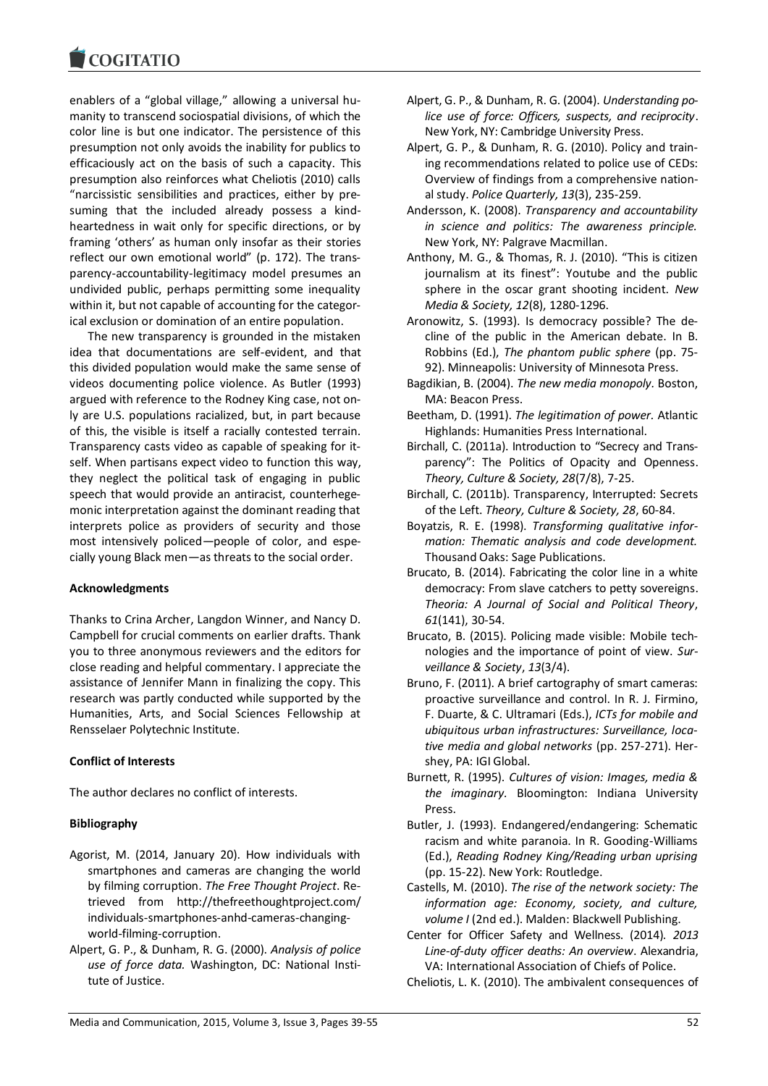enablers of a "global village," allowing a universal humanity to transcend sociospatial divisions, of which the color line is but one indicator. The persistence of this presumption not only avoids the inability for publics to efficaciously act on the basis of such a capacity. This presumption also reinforces what Cheliotis (2010) calls "narcissistic sensibilities and practices, either by presuming that the included already possess a kindheartedness in wait only for specific directions, or by framing 'others' as human only insofar as their stories reflect our own emotional world" (p. 172). The transparency-accountability-legitimacy model presumes an undivided public, perhaps permitting some inequality within it, but not capable of accounting for the categorical exclusion or domination of an entire population.

The new transparency is grounded in the mistaken idea that documentations are self-evident, and that this divided population would make the same sense of videos documenting police violence. As Butler (1993) argued with reference to the Rodney King case, not only are U.S. populations racialized, but, in part because of this, the visible is itself a racially contested terrain. Transparency casts video as capable of speaking for itself. When partisans expect video to function this way, they neglect the political task of engaging in public speech that would provide an antiracist, counterhegemonic interpretation against the dominant reading that interprets police as providers of security and those most intensively policed—people of color, and especially young Black men—as threats to the social order.

## **Acknowledgments**

Thanks to Crina Archer, Langdon Winner, and Nancy D. Campbell for crucial comments on earlier drafts. Thank you to three anonymous reviewers and the editors for close reading and helpful commentary. I appreciate the assistance of Jennifer Mann in finalizing the copy. This research was partly conducted while supported by the Humanities, Arts, and Social Sciences Fellowship at Rensselaer Polytechnic Institute.

# **Conflict of Interests**

The author declares no conflict of interests.

# **Bibliography**

- Agorist, M. (2014, January 20). How individuals with smartphones and cameras are changing the world by filming corruption. *The Free Thought Project*. Retrieved from http://thefreethoughtproject.com/ individuals-smartphones-anhd-cameras-changingworld-filming-corruption.
- Alpert, G. P., & Dunham, R. G. (2000). *Analysis of police use of force data.* Washington, DC: National Institute of Justice.
- Alpert, G. P., & Dunham, R. G. (2004). *Understanding police use of force: Officers, suspects, and reciprocity*. New York, NY: Cambridge University Press.
- Alpert, G. P., & Dunham, R. G. (2010). Policy and training recommendations related to police use of CEDs: Overview of findings from a comprehensive national study. *Police Quarterly, 13*(3), 235-259.
- Andersson, K. (2008). *Transparency and accountability in science and politics: The awareness principle.* New York, NY: Palgrave Macmillan.
- Anthony, M. G., & Thomas, R. J. (2010). "This is citizen journalism at its finest": Youtube and the public sphere in the oscar grant shooting incident. *New Media & Society, 12*(8), 1280-1296.
- Aronowitz, S. (1993). Is democracy possible? The decline of the public in the American debate. In B. Robbins (Ed.), *The phantom public sphere* (pp. 75- 92). Minneapolis: University of Minnesota Press.
- Bagdikian, B. (2004). *The new media monopoly.* Boston, MA: Beacon Press.
- Beetham, D. (1991). *The legitimation of power.* Atlantic Highlands: Humanities Press International.
- Birchall, C. (2011a). Introduction to "Secrecy and Transparency": The Politics of Opacity and Openness. *Theory, Culture & Society, 28*(7/8), 7-25.
- Birchall, C. (2011b). Transparency, Interrupted: Secrets of the Left. *Theory, Culture & Society, 28*, 60-84.
- Boyatzis, R. E. (1998). *Transforming qualitative information: Thematic analysis and code development.* Thousand Oaks: Sage Publications.
- Brucato, B. (2014). Fabricating the color line in a white democracy: From slave catchers to petty sovereigns. *Theoria: A Journal of Social and Political Theory*, *61*(141), 30-54.
- Brucato, B. (2015). Policing made visible: Mobile technologies and the importance of point of view. *Surveillance & Society*, *13*(3/4).
- Bruno, F. (2011). A brief cartography of smart cameras: proactive surveillance and control. In R. J. Firmino, F. Duarte, & C. Ultramari (Eds.), *ICTs for mobile and ubiquitous urban infrastructures: Surveillance, locative media and global networks* (pp. 257-271). Hershey, PA: IGI Global.
- Burnett, R. (1995). *Cultures of vision: Images, media & the imaginary.* Bloomington: Indiana University Press.
- Butler, J. (1993). Endangered/endangering: Schematic racism and white paranoia. In R. Gooding-Williams (Ed.), *Reading Rodney King/Reading urban uprising* (pp. 15-22). New York: Routledge.
- Castells, M. (2010). *The rise of the network society: The information age: Economy, society, and culture, volume I* (2nd ed.). Malden: Blackwell Publishing.
- Center for Officer Safety and Wellness. (2014). *2013 Line-of-duty officer deaths: An overview*. Alexandria, VA: International Association of Chiefs of Police.
- Cheliotis, L. K. (2010). The ambivalent consequences of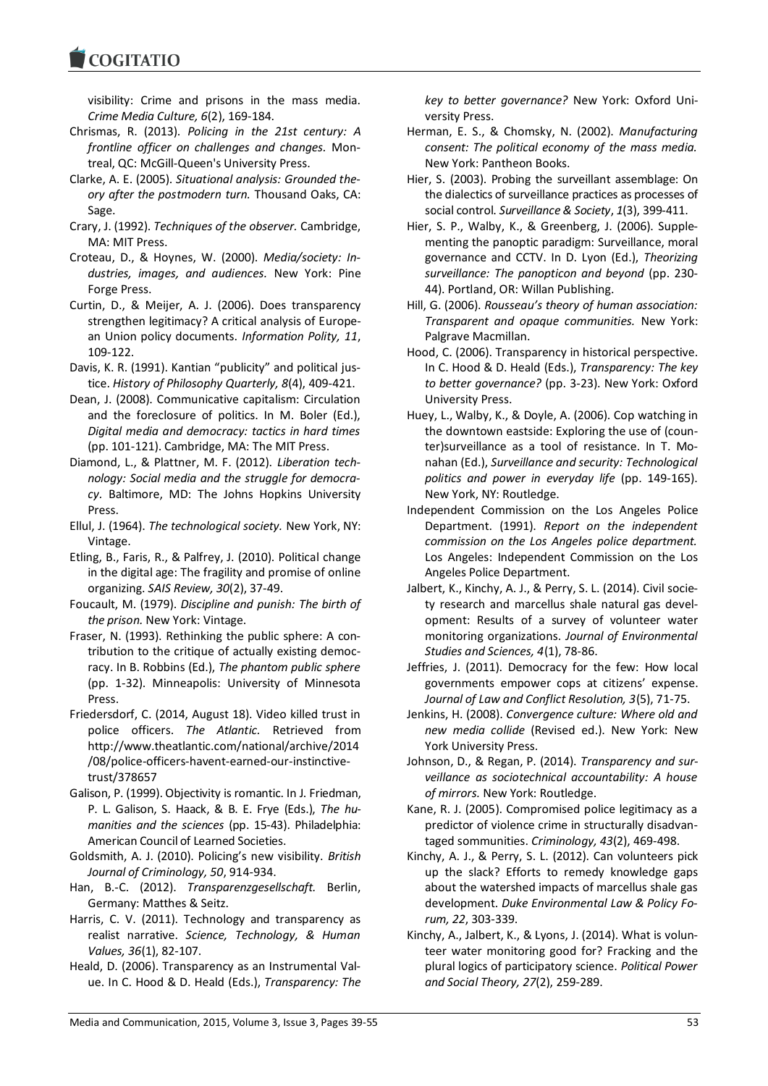**COGITATIO** 

visibility: Crime and prisons in the mass media. *Crime Media Culture, 6*(2), 169-184.

- Chrismas, R. (2013). *Policing in the 21st century: A frontline officer on challenges and changes.* Montreal, QC: McGill-Queen's University Press.
- Clarke, A. E. (2005). *Situational analysis: Grounded theory after the postmodern turn.* Thousand Oaks, CA: Sage.
- Crary, J. (1992). *Techniques of the observer.* Cambridge, MA: MIT Press.
- Croteau, D., & Hoynes, W. (2000). *Media/society: Industries, images, and audiences.* New York: Pine Forge Press.
- Curtin, D., & Meijer, A. J. (2006). Does transparency strengthen legitimacy? A critical analysis of European Union policy documents. *Information Polity, 11*, 109-122.
- Davis, K. R. (1991). Kantian "publicity" and political justice. *History of Philosophy Quarterly, 8*(4), 409-421.
- Dean, J. (2008). Communicative capitalism: Circulation and the foreclosure of politics. In M. Boler (Ed.), *Digital media and democracy: tactics in hard times* (pp. 101-121). Cambridge, MA: The MIT Press.
- Diamond, L., & Plattner, M. F. (2012). *Liberation technology: Social media and the struggle for democracy.* Baltimore, MD: The Johns Hopkins University Press.
- Ellul, J. (1964). *The technological society.* New York, NY: Vintage.
- Etling, B., Faris, R., & Palfrey, J. (2010). Political change in the digital age: The fragility and promise of online organizing. *SAIS Review, 30*(2), 37-49.
- Foucault, M. (1979). *Discipline and punish: The birth of the prison.* New York: Vintage.
- Fraser, N. (1993). Rethinking the public sphere: A contribution to the critique of actually existing democracy. In B. Robbins (Ed.), *The phantom public sphere* (pp. 1-32). Minneapolis: University of Minnesota Press.
- Friedersdorf, C. (2014, August 18). Video killed trust in police officers. *The Atlantic.* Retrieved from http://www.theatlantic.com/national/archive/2014 /08/police-officers-havent-earned-our-instinctivetrust/378657
- Galison, P. (1999). Objectivity is romantic. In J. Friedman, P. L. Galison, S. Haack, & B. E. Frye (Eds.), *The humanities and the sciences* (pp. 15-43). Philadelphia: American Council of Learned Societies.
- Goldsmith, A. J. (2010). Policing's new visibility. *British Journal of Criminology, 50*, 914-934.
- Han, B.-C. (2012). *Transparenzgesellschaft.* Berlin, Germany: Matthes & Seitz.
- Harris, C. V. (2011). Technology and transparency as realist narrative. *Science, Technology, & Human Values, 36*(1), 82-107.
- Heald, D. (2006). Transparency as an Instrumental Value. In C. Hood & D. Heald (Eds.), *Transparency: The*

*key to better governance?* New York: Oxford University Press.

- Herman, E. S., & Chomsky, N. (2002). *Manufacturing consent: The political economy of the mass media.* New York: Pantheon Books.
- Hier, S. (2003). Probing the surveillant assemblage: On the dialectics of surveillance practices as processes of social control. *Surveillance & Society*, *1*(3), 399-411.
- Hier, S. P., Walby, K., & Greenberg, J. (2006). Supplementing the panoptic paradigm: Surveillance, moral governance and CCTV. In D. Lyon (Ed.), *Theorizing surveillance: The panopticon and beyond* (pp. 230- 44). Portland, OR: Willan Publishing.
- Hill, G. (2006). *Rousseau's theory of human association: Transparent and opaque communities.* New York: Palgrave Macmillan.
- Hood, C. (2006). Transparency in historical perspective. In C. Hood & D. Heald (Eds.), *Transparency: The key to better governance?* (pp. 3-23). New York: Oxford University Press.
- Huey, L., Walby, K., & Doyle, A. (2006). Cop watching in the downtown eastside: Exploring the use of (counter)surveillance as a tool of resistance. In T. Monahan (Ed.), *Surveillance and security: Technological politics and power in everyday life* (pp. 149-165). New York, NY: Routledge.
- Independent Commission on the Los Angeles Police Department. (1991). *Report on the independent commission on the Los Angeles police department.* Los Angeles: Independent Commission on the Los Angeles Police Department.
- Jalbert, K., Kinchy, A. J., & Perry, S. L. (2014). Civil society research and marcellus shale natural gas development: Results of a survey of volunteer water monitoring organizations. *Journal of Environmental Studies and Sciences, 4*(1), 78-86.
- Jeffries, J. (2011). Democracy for the few: How local governments empower cops at citizens' expense. *Journal of Law and Conflict Resolution, 3*(5), 71-75.
- Jenkins, H. (2008). *Convergence culture: Where old and new media collide* (Revised ed.). New York: New York University Press.
- Johnson, D., & Regan, P. (2014). *Transparency and surveillance as sociotechnical accountability: A house of mirrors.* New York: Routledge.
- Kane, R. J. (2005). Compromised police legitimacy as a predictor of violence crime in structurally disadvantaged sommunities. *Criminology, 43*(2), 469-498.
- Kinchy, A. J., & Perry, S. L. (2012). Can volunteers pick up the slack? Efforts to remedy knowledge gaps about the watershed impacts of marcellus shale gas development. *Duke Environmental Law & Policy Forum, 22*, 303-339.
- Kinchy, A., Jalbert, K., & Lyons, J. (2014). What is volunteer water monitoring good for? Fracking and the plural logics of participatory science. *Political Power and Social Theory, 27*(2), 259-289.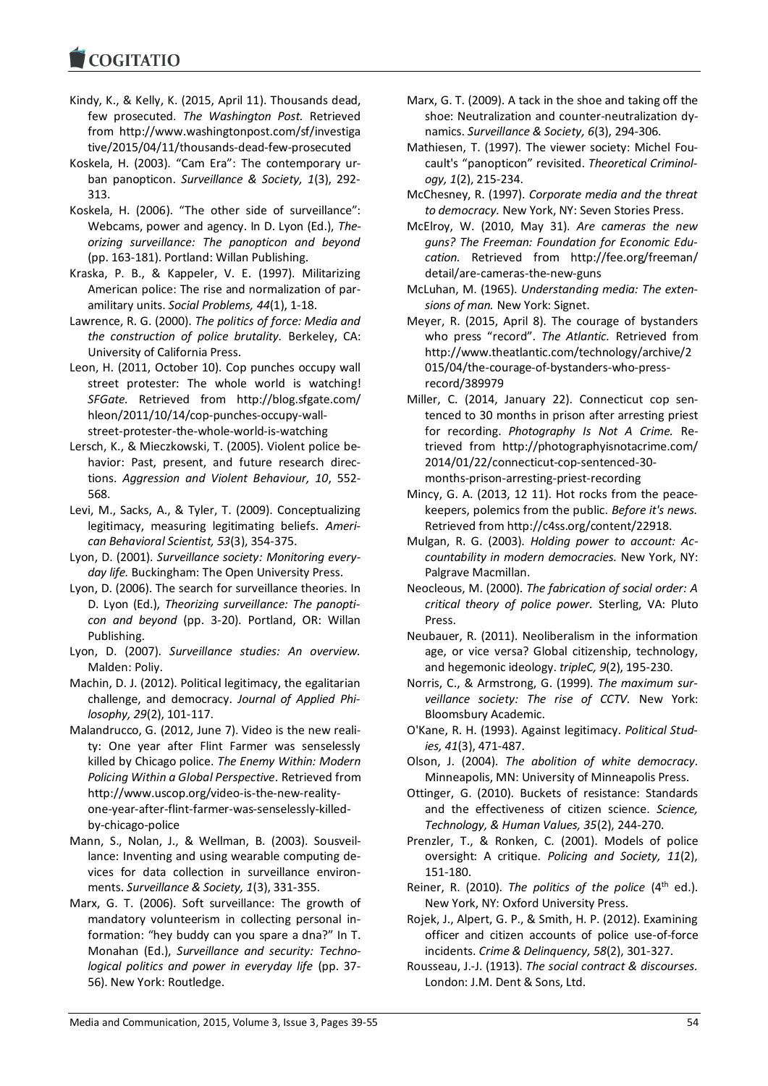- Kindy, K., & Kelly, K. (2015, April 11). Thousands dead, few prosecuted. *The Washington Post.* Retrieved from http://www.washingtonpost.com/sf/investiga tive/2015/04/11/thousands-dead-few-prosecuted
- Koskela, H. (2003). "Cam Era": The contemporary urban panopticon. *Surveillance & Society, 1*(3), 292- 313.
- Koskela, H. (2006). "The other side of surveillance": Webcams, power and agency. In D. Lyon (Ed.), *Theorizing surveillance: The panopticon and beyond* (pp. 163-181). Portland: Willan Publishing.
- Kraska, P. B., & Kappeler, V. E. (1997). Militarizing American police: The rise and normalization of paramilitary units. *Social Problems, 44*(1), 1-18.
- Lawrence, R. G. (2000). *The politics of force: Media and the construction of police brutality.* Berkeley, CA: University of California Press.
- Leon, H. (2011, October 10). Cop punches occupy wall street protester: The whole world is watching! *SFGate.* Retrieved from http://blog.sfgate.com/ hleon/2011/10/14/cop-punches-occupy-wallstreet-protester-the-whole-world-is-watching
- Lersch, K., & Mieczkowski, T. (2005). Violent police behavior: Past, present, and future research directions. *Aggression and Violent Behaviour, 10*, 552- 568.
- Levi, M., Sacks, A., & Tyler, T. (2009). Conceptualizing legitimacy, measuring legitimating beliefs. *American Behavioral Scientist, 53*(3), 354-375.
- Lyon, D. (2001). *Surveillance society: Monitoring everyday life.* Buckingham: The Open University Press.
- Lyon, D. (2006). The search for surveillance theories. In D. Lyon (Ed.), *Theorizing surveillance: The panopticon and beyond* (pp. 3-20). Portland, OR: Willan Publishing.
- Lyon, D. (2007). *Surveillance studies: An overview.* Malden: Poliy.
- Machin, D. J. (2012). Political legitimacy, the egalitarian challenge, and democracy. *Journal of Applied Philosophy, 29*(2), 101-117.
- Malandrucco, G. (2012, June 7). Video is the new reality: One year after Flint Farmer was senselessly killed by Chicago police. *The Enemy Within: Modern Policing Within a Global Perspective*. Retrieved from http://www.uscop.org/video-is-the-new-realityone-year-after-flint-farmer-was-senselessly-killedby-chicago-police
- Mann, S., Nolan, J., & Wellman, B. (2003). Sousveillance: Inventing and using wearable computing devices for data collection in surveillance environments. *Surveillance & Society, 1*(3), 331-355.
- Marx, G. T. (2006). Soft surveillance: The growth of mandatory volunteerism in collecting personal information: "hey buddy can you spare a dna?" In T. Monahan (Ed.), *Surveillance and security: Technological politics and power in everyday life* (pp. 37- 56). New York: Routledge.
- Marx, G. T. (2009). A tack in the shoe and taking off the shoe: Neutralization and counter-neutralization dynamics. *Surveillance & Society, 6*(3), 294-306.
- Mathiesen, T. (1997). The viewer society: Michel Foucault's "panopticon" revisited. *Theoretical Criminology, 1*(2), 215-234.
- McChesney, R. (1997). *Corporate media and the threat to democracy.* New York, NY: Seven Stories Press.
- McElroy, W. (2010, May 31). *Are cameras the new guns? The Freeman: Foundation for Economic Education.* Retrieved from http://fee.org/freeman/ detail/are-cameras-the-new-guns
- McLuhan, M. (1965). *Understanding media: The extensions of man.* New York: Signet.
- Meyer, R. (2015, April 8). The courage of bystanders who press "record". *The Atlantic.* Retrieved from http://www.theatlantic.com/technology/archive/2 015/04/the-courage-of-bystanders-who-pressrecord/389979
- Miller, C. (2014, January 22). Connecticut cop sentenced to 30 months in prison after arresting priest for recording. *Photography Is Not A Crime.* Retrieved from http://photographyisnotacrime.com/ 2014/01/22/connecticut-cop-sentenced-30 months-prison-arresting-priest-recording
- Mincy, G. A. (2013, 12 11). Hot rocks from the peacekeepers, polemics from the public. *Before it's news.* Retrieved from http://c4ss.org/content/22918.
- Mulgan, R. G. (2003). *Holding power to account: Accountability in modern democracies.* New York, NY: Palgrave Macmillan.
- Neocleous, M. (2000). *The fabrication of social order: A critical theory of police power.* Sterling, VA: Pluto Press.
- Neubauer, R. (2011). Neoliberalism in the information age, or vice versa? Global citizenship, technology, and hegemonic ideology. *tripleC, 9*(2), 195-230.
- Norris, C., & Armstrong, G. (1999). *The maximum surveillance society: The rise of CCTV.* New York: Bloomsbury Academic.
- O'Kane, R. H. (1993). Against legitimacy. *Political Studies, 41*(3), 471-487.
- Olson, J. (2004). *The abolition of white democracy.* Minneapolis, MN: University of Minneapolis Press.
- Ottinger, G. (2010). Buckets of resistance: Standards and the effectiveness of citizen science. *Science, Technology, & Human Values, 35*(2), 244-270.
- Prenzler, T., & Ronken, C. (2001). Models of police oversight: A critique. *Policing and Society, 11*(2), 151-180.
- Reiner, R. (2010). *The politics of the police* (4<sup>th</sup> ed.). New York, NY: Oxford University Press.
- Rojek, J., Alpert, G. P., & Smith, H. P. (2012). Examining officer and citizen accounts of police use-of-force incidents. *Crime & Delinquency, 58*(2), 301-327.
- Rousseau, J.-J. (1913). *The social contract & discourses.* London: J.M. Dent & Sons, Ltd.